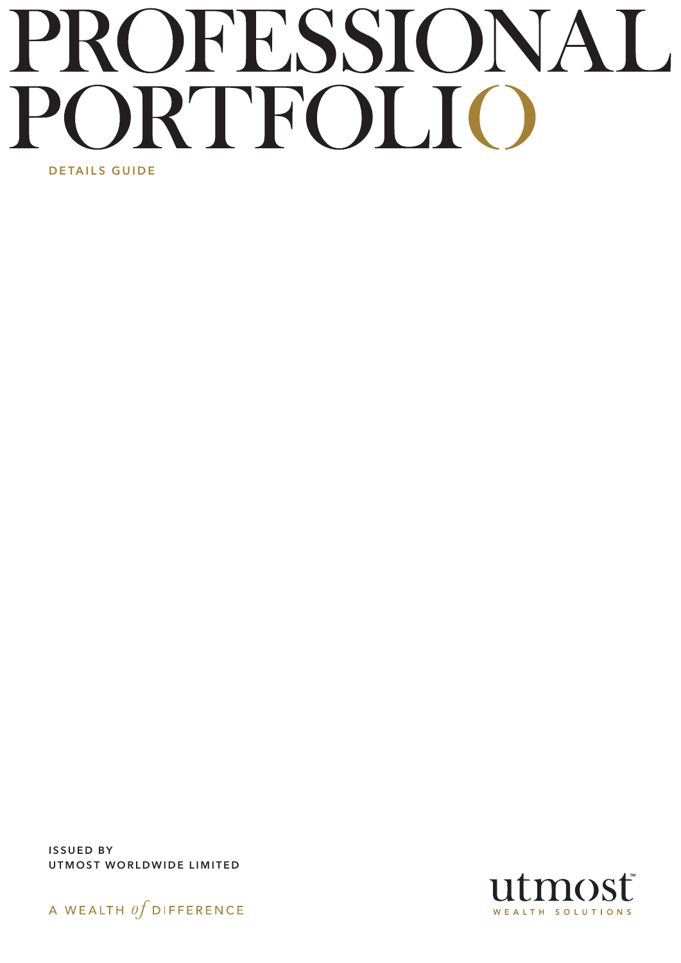# PROFESSIONAL RTFOLIC DETAILS GUIDE

ISSUED BY UTMOST WORLDWIDE LIMITED



mosť WEALTH SOLUTIONS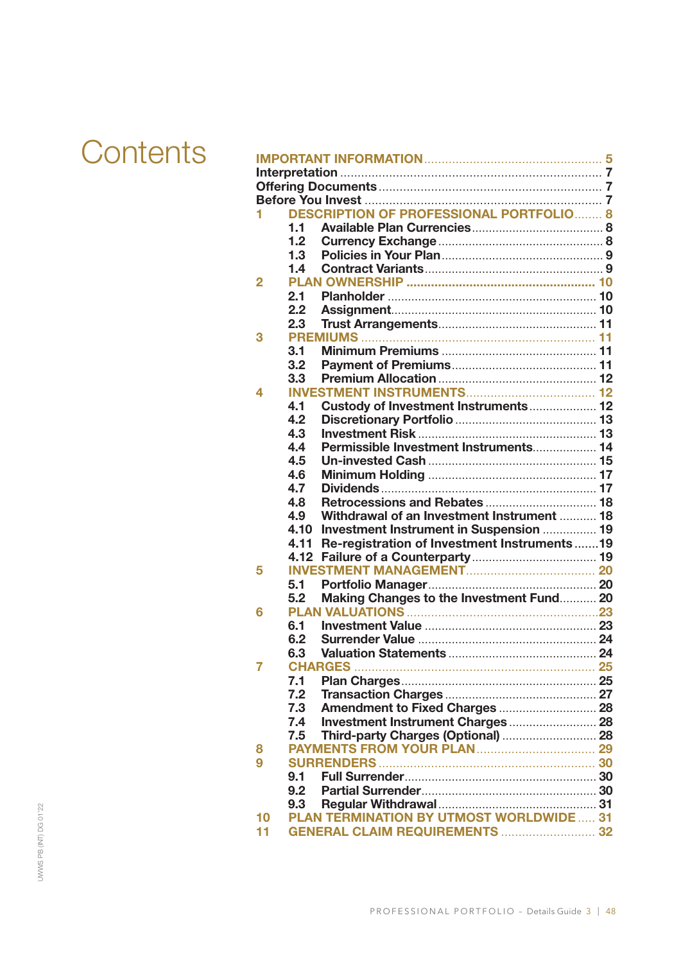| Contents |              |                                                    |  |
|----------|--------------|----------------------------------------------------|--|
|          |              |                                                    |  |
|          |              |                                                    |  |
|          |              |                                                    |  |
|          |              |                                                    |  |
|          |              | <b>DESCRIPTION OF PROFESSIONAL PORTFOLIO 8</b>     |  |
|          |              | 1.1                                                |  |
|          |              | 1.2 <sub>2</sub>                                   |  |
|          |              | 1.3                                                |  |
|          |              | 1.4                                                |  |
|          | $\mathbf{2}$ |                                                    |  |
|          |              | 2.1                                                |  |
|          |              | $2.2\phantom{0}$                                   |  |
|          |              | 2.3                                                |  |
|          | 3            |                                                    |  |
|          |              | 3.1                                                |  |
|          |              | 3.2                                                |  |
|          |              | 3.3                                                |  |
|          | 4            |                                                    |  |
|          |              | Custody of Investment Instruments 12<br>4.1        |  |
|          |              | 4.2                                                |  |
|          |              | 4.3                                                |  |
|          |              | Permissible Investment Instruments 14<br>4.4       |  |
|          |              | 4.5                                                |  |
|          |              | 4.6                                                |  |
|          |              | 4.7                                                |  |
|          |              | 4.8                                                |  |
|          |              | Withdrawal of an Investment Instrument  18<br>4.9  |  |
|          |              | Investment Instrument in Suspension  19<br>4.10    |  |
|          |              | 4.11 Re-registration of Investment Instruments  19 |  |
|          |              |                                                    |  |
|          | 5            |                                                    |  |
|          |              | 5.1                                                |  |
|          |              | 5.2                                                |  |
|          |              | Making Changes to the Investment Fund 20           |  |
|          | 6            |                                                    |  |
|          |              | 6.1                                                |  |
|          |              | 6.2                                                |  |
|          |              | 6.3                                                |  |
|          | 7            | <b>CHARGES</b>                                     |  |
|          |              | 7.1                                                |  |
|          |              | 7.2                                                |  |
|          |              | 7.3                                                |  |
|          |              | 7.4                                                |  |
|          |              | Third-party Charges (Optional)  28<br>7.5          |  |
|          | 8            |                                                    |  |
|          | 9            |                                                    |  |
|          |              | 9.1                                                |  |
|          |              | 9.2                                                |  |
|          |              | 9.3                                                |  |
|          | 10           | <b>PLAN TERMINATION BY UTMOST WORLDWIDE 31</b>     |  |
|          | 11           | <b>GENERAL CLAIM REQUIREMENTS  32</b>              |  |
|          |              |                                                    |  |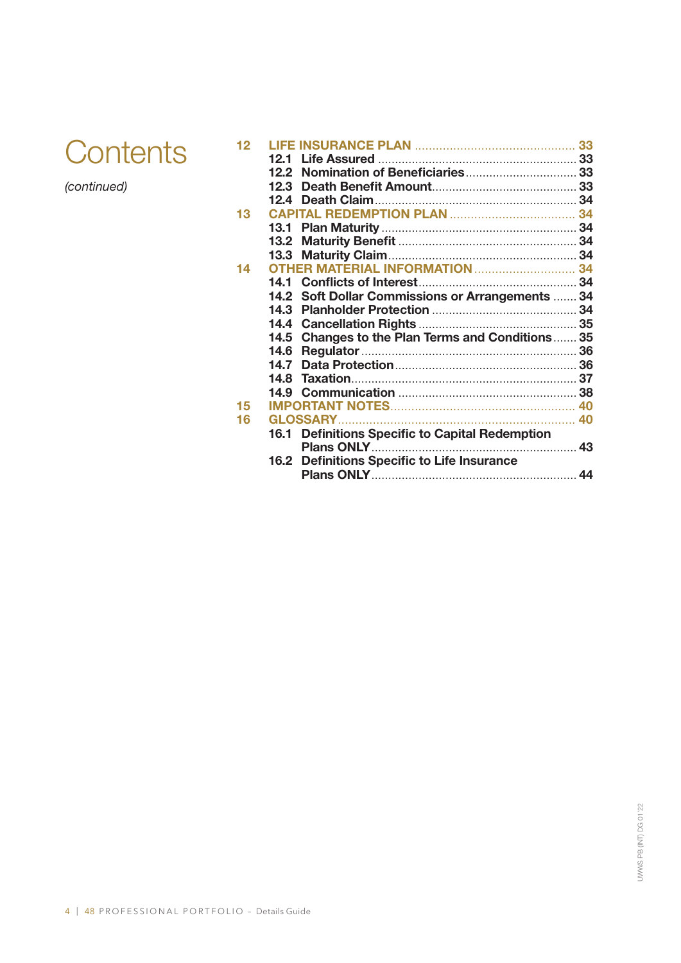

*(continued)*

| 16.1 Definitions Specific to Capital Redemption |                                                                                                                                               |
|-------------------------------------------------|-----------------------------------------------------------------------------------------------------------------------------------------------|
|                                                 |                                                                                                                                               |
| 16.2 Definitions Specific to Life Insurance     |                                                                                                                                               |
|                                                 |                                                                                                                                               |
|                                                 | <b>OTHER MATERIAL INFORMATION  34</b><br>14.2 Soft Dollar Commissions or Arrangements  34<br>14.5 Changes to the Plan Terms and Conditions 35 |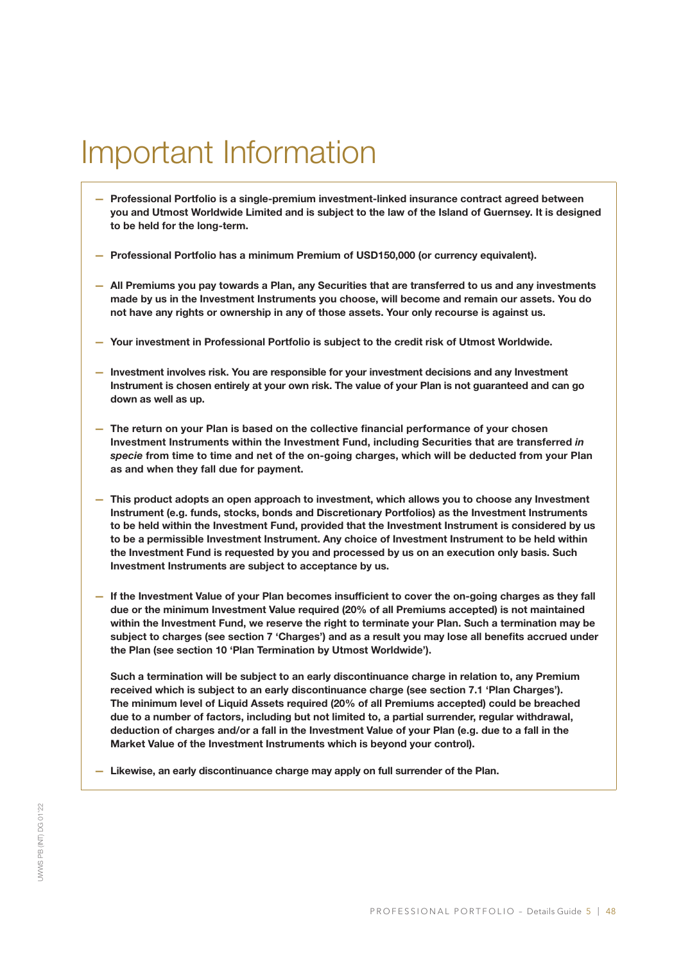# Important Information

- Professional Portfolio is a single-premium investment-linked insurance contract agreed between you and Utmost Worldwide Limited and is subject to the law of the Island of Guernsey. It is designed to be held for the long-term.
- Professional Portfolio has a minimum Premium of USD150,000 (or currency equivalent).
- All Premiums you pay towards a Plan, any Securities that are transferred to us and any investments made by us in the Investment Instruments you choose, will become and remain our assets. You do not have any rights or ownership in any of those assets. Your only recourse is against us.
- Your investment in Professional Portfolio is subject to the credit risk of Utmost Worldwide.
- Investment involves risk. You are responsible for your investment decisions and any Investment Instrument is chosen entirely at your own risk. The value of your Plan is not guaranteed and can go down as well as up.
- The return on your Plan is based on the collective financial performance of your chosen Investment Instruments within the Investment Fund, including Securities that are transferred *in specie* from time to time and net of the on-going charges, which will be deducted from your Plan as and when they fall due for payment.
- This product adopts an open approach to investment, which allows you to choose any Investment Instrument (e.g. funds, stocks, bonds and Discretionary Portfolios) as the Investment Instruments to be held within the Investment Fund, provided that the Investment Instrument is considered by us to be a permissible Investment Instrument. Any choice of Investment Instrument to be held within the Investment Fund is requested by you and processed by us on an execution only basis. Such Investment Instruments are subject to acceptance by us.
- If the Investment Value of your Plan becomes insufficient to cover the on-going charges as they fall due or the minimum Investment Value required (20% of all Premiums accepted) is not maintained within the Investment Fund, we reserve the right to terminate your Plan. Such a termination may be subject to charges (see section 7 'Charges') and as a result you may lose all benefits accrued under the Plan (see section 10 'Plan Termination by Utmost Worldwide').

Such a termination will be subject to an early discontinuance charge in relation to, any Premium received which is subject to an early discontinuance charge (see section 7.1 'Plan Charges'). The minimum level of Liquid Assets required (20% of all Premiums accepted) could be breached due to a number of factors, including but not limited to, a partial surrender, regular withdrawal, deduction of charges and/or a fall in the Investment Value of your Plan (e.g. due to a fall in the Market Value of the Investment Instruments which is beyond your control).

— Likewise, an early discontinuance charge may apply on full surrender of the Plan.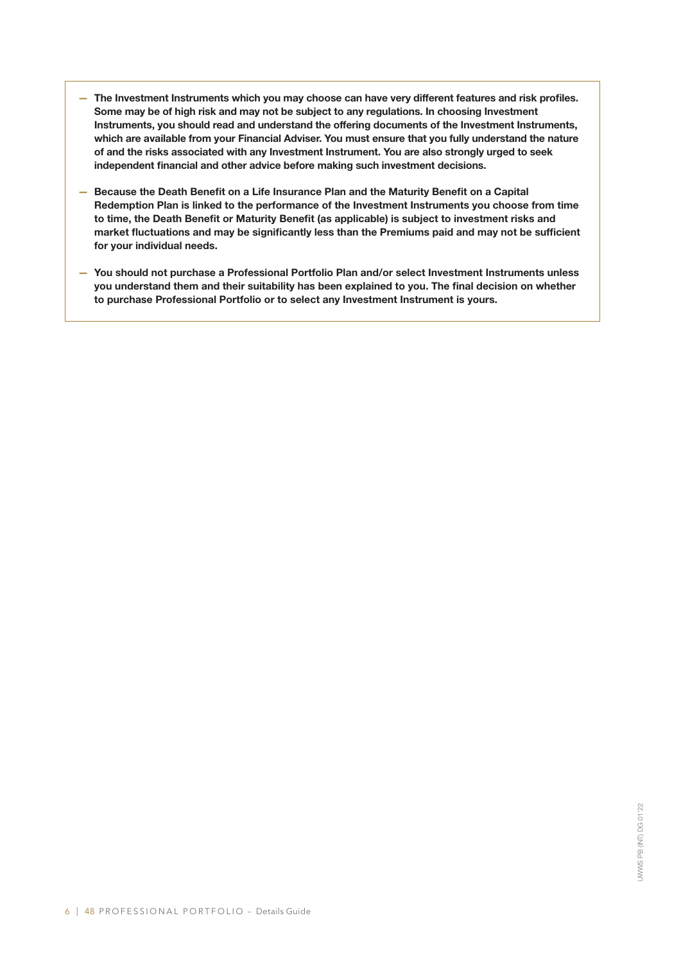- The Investment Instruments which you may choose can have very different features and risk profiles. Some may be of high risk and may not be subject to any regulations. In choosing Investment Instruments, you should read and understand the offering documents of the Investment Instruments, which are available from your Financial Adviser. You must ensure that you fully understand the nature of and the risks associated with any Investment Instrument. You are also strongly urged to seek independent financial and other advice before making such investment decisions.
- Because the Death Benefit on a Life Insurance Plan and the Maturity Benefit on a Capital Redemption Plan is linked to the performance of the Investment Instruments you choose from time to time, the Death Benefit or Maturity Benefit (as applicable) is subject to investment risks and market fluctuations and may be significantly less than the Premiums paid and may not be sufficient for your individual needs.
- You should not purchase a Professional Portfolio Plan and/or select Investment Instruments unless you understand them and their suitability has been explained to you. The final decision on whether to purchase Professional Portfolio or to select any Investment Instrument is yours.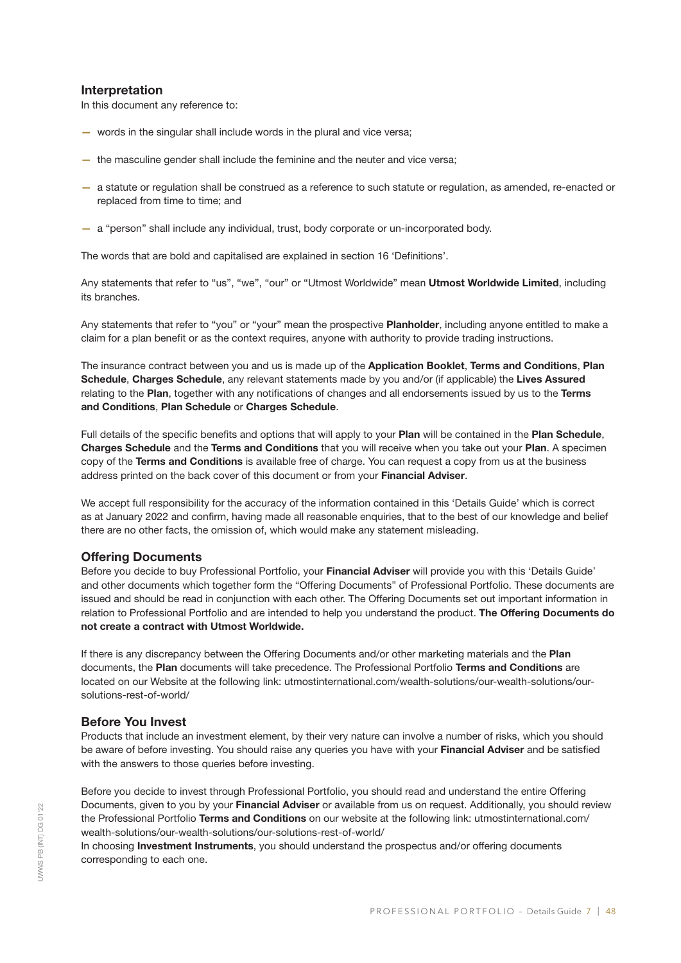# Interpretation

In this document any reference to:

- words in the singular shall include words in the plural and vice versa;
- the masculine gender shall include the feminine and the neuter and vice versa;
- a statute or regulation shall be construed as a reference to such statute or regulation, as amended, re-enacted or replaced from time to time; and
- a "person" shall include any individual, trust, body corporate or un-incorporated body.

The words that are bold and capitalised are explained in section 16 'Definitions'.

Any statements that refer to "us", "we", "our" or "Utmost Worldwide" mean Utmost Worldwide Limited, including its branches.

Any statements that refer to "you" or "your" mean the prospective Planholder, including anyone entitled to make a claim for a plan benefit or as the context requires, anyone with authority to provide trading instructions.

The insurance contract between you and us is made up of the Application Booklet, Terms and Conditions, Plan Schedule, Charges Schedule, any relevant statements made by you and/or (if applicable) the Lives Assured relating to the Plan, together with any notifications of changes and all endorsements issued by us to the Terms and Conditions, Plan Schedule or Charges Schedule.

Full details of the specific benefits and options that will apply to your Plan will be contained in the Plan Schedule, Charges Schedule and the Terms and Conditions that you will receive when you take out your Plan. A specimen copy of the Terms and Conditions is available free of charge. You can request a copy from us at the business address printed on the back cover of this document or from your Financial Adviser.

We accept full responsibility for the accuracy of the information contained in this 'Details Guide' which is correct as at January 2022 and confirm, having made all reasonable enquiries, that to the best of our knowledge and belief there are no other facts, the omission of, which would make any statement misleading.

# Offering Documents

Before you decide to buy Professional Portfolio, your Financial Adviser will provide you with this 'Details Guide' and other documents which together form the "Offering Documents" of Professional Portfolio. These documents are issued and should be read in conjunction with each other. The Offering Documents set out important information in relation to Professional Portfolio and are intended to help you understand the product. The Offering Documents do not create a contract with Utmost Worldwide.

If there is any discrepancy between the Offering Documents and/or other marketing materials and the Plan documents, the Plan documents will take precedence. The Professional Portfolio Terms and Conditions are located on our Website at the following link: utmostinternational.com/wealth-solutions/our-wealth-solutions/oursolutions-rest-of-world/

# Before You Invest

Products that include an investment element, by their very nature can involve a number of risks, which you should be aware of before investing. You should raise any queries you have with your Financial Adviser and be satisfied with the answers to those queries before investing.

Before you decide to invest through Professional Portfolio, you should read and understand the entire Offering Documents, given to you by your Financial Adviser or available from us on request. Additionally, you should review the Professional Portfolio Terms and Conditions on our website at the following link: utmostinternational.com/ wealth-solutions/our-wealth-solutions/our-solutions-rest-of-world/

In choosing **Investment Instruments**, you should understand the prospectus and/or offering documents corresponding to each one.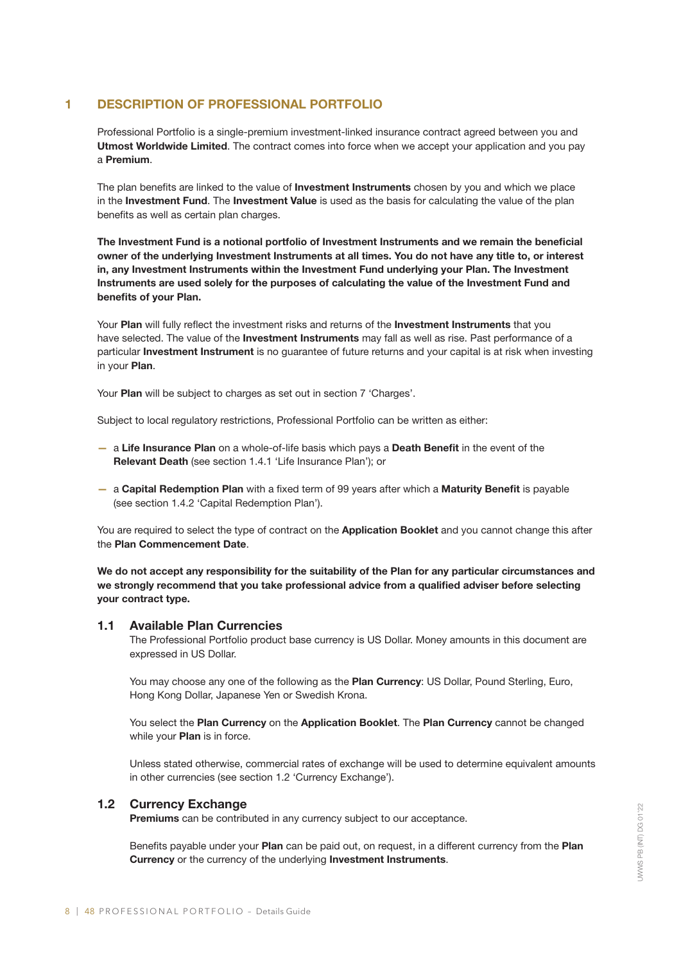# 1 DESCRIPTION OF PROFESSIONAL PORTFOLIO

Professional Portfolio is a single-premium investment-linked insurance contract agreed between you and Utmost Worldwide Limited. The contract comes into force when we accept your application and you pay a Premium.

The plan benefits are linked to the value of Investment Instruments chosen by you and which we place in the Investment Fund. The Investment Value is used as the basis for calculating the value of the plan benefits as well as certain plan charges.

The Investment Fund is a notional portfolio of Investment Instruments and we remain the beneficial owner of the underlying Investment Instruments at all times. You do not have any title to, or interest in, any Investment Instruments within the Investment Fund underlying your Plan. The Investment Instruments are used solely for the purposes of calculating the value of the Investment Fund and benefits of your Plan.

Your Plan will fully reflect the investment risks and returns of the Investment Instruments that you have selected. The value of the Investment Instruments may fall as well as rise. Past performance of a particular Investment Instrument is no guarantee of future returns and your capital is at risk when investing in your Plan.

Your Plan will be subject to charges as set out in section 7 'Charges'.

Subject to local regulatory restrictions, Professional Portfolio can be written as either:

- a Life Insurance Plan on a whole-of-life basis which pays a Death Benefit in the event of the Relevant Death (see section 1.4.1 'Life Insurance Plan'); or
- a Capital Redemption Plan with a fixed term of 99 years after which a Maturity Benefit is payable (see section 1.4.2 'Capital Redemption Plan').

You are required to select the type of contract on the Application Booklet and you cannot change this after the Plan Commencement Date.

We do not accept any responsibility for the suitability of the Plan for any particular circumstances and we strongly recommend that you take professional advice from a qualified adviser before selecting your contract type.

# 1.1 Available Plan Currencies

The Professional Portfolio product base currency is US Dollar. Money amounts in this document are expressed in US Dollar.

You may choose any one of the following as the Plan Currency: US Dollar, Pound Sterling, Euro, Hong Kong Dollar, Japanese Yen or Swedish Krona.

You select the Plan Currency on the Application Booklet. The Plan Currency cannot be changed while your **Plan** is in force.

Unless stated otherwise, commercial rates of exchange will be used to determine equivalent amounts in other currencies (see section 1.2 'Currency Exchange').

# 1.2 Currency Exchange

Premiums can be contributed in any currency subject to our acceptance.

Benefits payable under your Plan can be paid out, on request, in a different currency from the Plan Currency or the currency of the underlying Investment Instruments.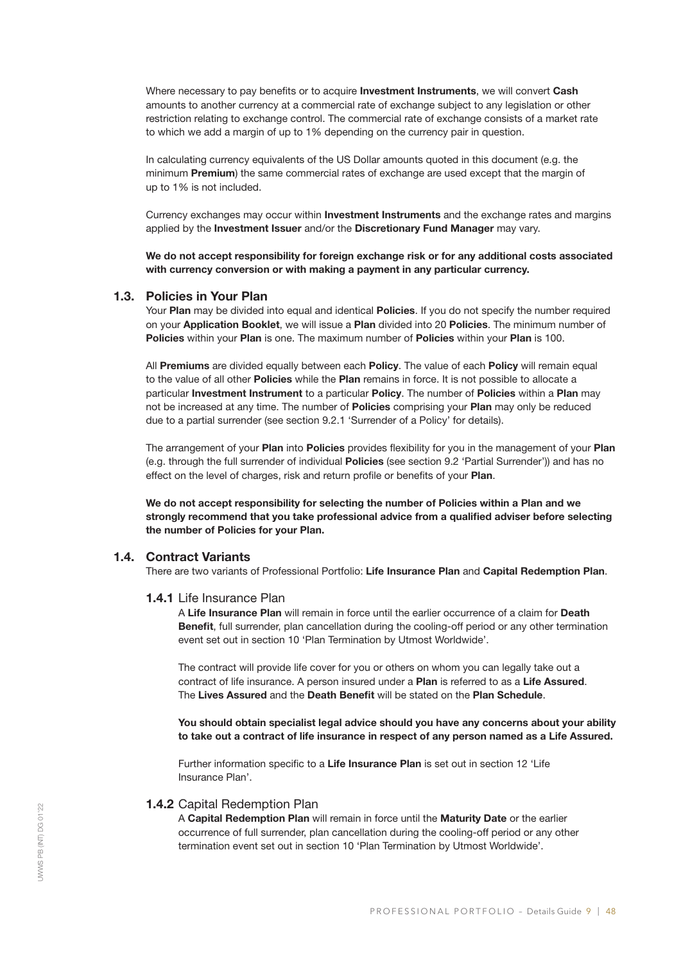Where necessary to pay benefits or to acquire **Investment Instruments**, we will convert Cash amounts to another currency at a commercial rate of exchange subject to any legislation or other restriction relating to exchange control. The commercial rate of exchange consists of a market rate to which we add a margin of up to 1% depending on the currency pair in question.

In calculating currency equivalents of the US Dollar amounts quoted in this document (e.g. the minimum **Premium**) the same commercial rates of exchange are used except that the margin of up to 1% is not included.

Currency exchanges may occur within **Investment Instruments** and the exchange rates and margins applied by the Investment Issuer and/or the Discretionary Fund Manager may vary.

We do not accept responsibility for foreign exchange risk or for any additional costs associated with currency conversion or with making a payment in any particular currency.

# 1.3. Policies in Your Plan

Your Plan may be divided into equal and identical Policies. If you do not specify the number required on your Application Booklet, we will issue a Plan divided into 20 Policies. The minimum number of Policies within your Plan is one. The maximum number of Policies within your Plan is 100.

All Premiums are divided equally between each Policy. The value of each Policy will remain equal to the value of all other **Policies** while the **Plan** remains in force. It is not possible to allocate a particular Investment Instrument to a particular Policy. The number of Policies within a Plan may not be increased at any time. The number of **Policies** comprising your **Plan** may only be reduced due to a partial surrender (see section 9.2.1 'Surrender of a Policy' for details).

The arrangement of your Plan into Policies provides flexibility for you in the management of your Plan (e.g. through the full surrender of individual Policies (see section 9.2 'Partial Surrender')) and has no effect on the level of charges, risk and return profile or benefits of your Plan.

We do not accept responsibility for selecting the number of Policies within a Plan and we strongly recommend that you take professional advice from a qualified adviser before selecting the number of Policies for your Plan.

# 1.4. Contract Variants

There are two variants of Professional Portfolio: Life Insurance Plan and Capital Redemption Plan.

# 1.4.1 Life Insurance Plan

A Life Insurance Plan will remain in force until the earlier occurrence of a claim for Death Benefit, full surrender, plan cancellation during the cooling-off period or any other termination event set out in section 10 'Plan Termination by Utmost Worldwide'.

The contract will provide life cover for you or others on whom you can legally take out a contract of life insurance. A person insured under a Plan is referred to as a Life Assured. The Lives Assured and the Death Benefit will be stated on the Plan Schedule.

You should obtain specialist legal advice should you have any concerns about your ability to take out a contract of life insurance in respect of any person named as a Life Assured.

Further information specific to a Life Insurance Plan is set out in section 12 'Life Insurance Plan'.

#### 1.4.2 Capital Redemption Plan

A Capital Redemption Plan will remain in force until the Maturity Date or the earlier occurrence of full surrender, plan cancellation during the cooling-off period or any other termination event set out in section 10 'Plan Termination by Utmost Worldwide'.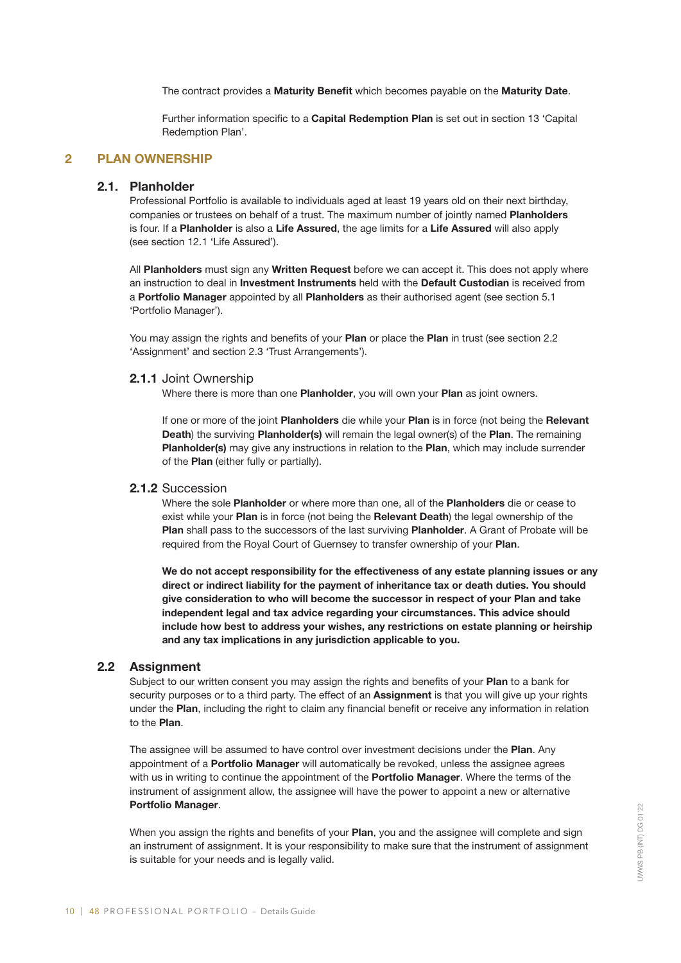The contract provides a Maturity Benefit which becomes payable on the Maturity Date.

Further information specific to a Capital Redemption Plan is set out in section 13 'Capital Redemption Plan'.

# 2 PLAN OWNERSHIP

# 2.1. Planholder

Professional Portfolio is available to individuals aged at least 19 years old on their next birthday, companies or trustees on behalf of a trust. The maximum number of jointly named Planholders is four. If a Planholder is also a Life Assured, the age limits for a Life Assured will also apply (see section 12.1 'Life Assured').

All Planholders must sign any Written Request before we can accept it. This does not apply where an instruction to deal in Investment Instruments held with the Default Custodian is received from a Portfolio Manager appointed by all Planholders as their authorised agent (see section 5.1 'Portfolio Manager').

You may assign the rights and benefits of your Plan or place the Plan in trust (see section 2.2 'Assignment' and section 2.3 'Trust Arrangements').

#### 2.1.1 Joint Ownership

Where there is more than one Planholder, you will own your Plan as joint owners.

If one or more of the joint **Planholders** die while your **Plan** is in force (not being the Relevant Death) the surviving Planholder(s) will remain the legal owner(s) of the Plan. The remaining Planholder(s) may give any instructions in relation to the Plan, which may include surrender of the Plan (either fully or partially).

#### 2.1.2 Succession

Where the sole Planholder or where more than one, all of the Planholders die or cease to exist while your Plan is in force (not being the Relevant Death) the legal ownership of the Plan shall pass to the successors of the last surviving Planholder. A Grant of Probate will be required from the Royal Court of Guernsey to transfer ownership of your Plan.

We do not accept responsibility for the effectiveness of any estate planning issues or any direct or indirect liability for the payment of inheritance tax or death duties. You should give consideration to who will become the successor in respect of your Plan and take independent legal and tax advice regarding your circumstances. This advice should include how best to address your wishes, any restrictions on estate planning or heirship and any tax implications in any jurisdiction applicable to you.

# 2.2 Assignment

Subject to our written consent you may assign the rights and benefits of your Plan to a bank for security purposes or to a third party. The effect of an **Assignment** is that you will give up your rights under the Plan, including the right to claim any financial benefit or receive any information in relation to the Plan.

The assignee will be assumed to have control over investment decisions under the Plan. Any appointment of a **Portfolio Manager** will automatically be revoked, unless the assignee agrees with us in writing to continue the appointment of the **Portfolio Manager**. Where the terms of the instrument of assignment allow, the assignee will have the power to appoint a new or alternative Portfolio Manager.

When you assign the rights and benefits of your Plan, you and the assignee will complete and sign an instrument of assignment. It is your responsibility to make sure that the instrument of assignment is suitable for your needs and is legally valid.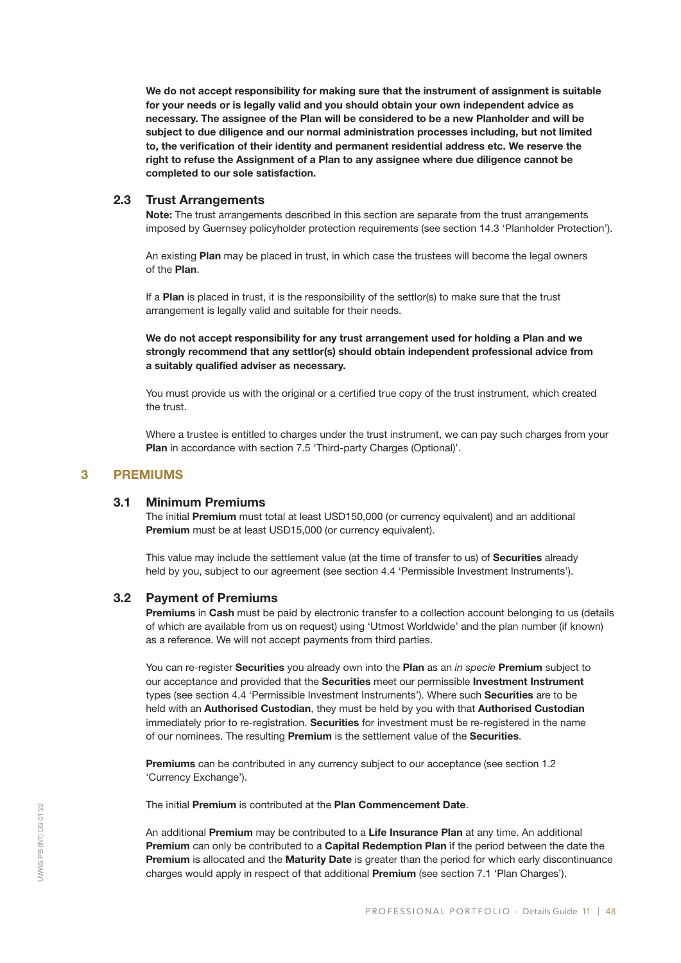We do not accept responsibility for making sure that the instrument of assignment is suitable for your needs or is legally valid and you should obtain your own independent advice as necessary. The assignee of the Plan will be considered to be a new Planholder and will be subject to due diligence and our normal administration processes including, but not limited to, the verification of their identity and permanent residential address etc. We reserve the right to refuse the Assignment of a Plan to any assignee where due diligence cannot be completed to our sole satisfaction.

# 2.3 Trust Arrangements

Note: The trust arrangements described in this section are separate from the trust arrangements imposed by Guernsey policyholder protection requirements (see section 14.3 'Planholder Protection').

An existing Plan may be placed in trust, in which case the trustees will become the legal owners of the Plan.

If a Plan is placed in trust, it is the responsibility of the settlor(s) to make sure that the trust arrangement is legally valid and suitable for their needs.

# We do not accept responsibility for any trust arrangement used for holding a Plan and we strongly recommend that any settlor(s) should obtain independent professional advice from a suitably qualified adviser as necessary.

You must provide us with the original or a certified true copy of the trust instrument, which created the trust.

Where a trustee is entitled to charges under the trust instrument, we can pay such charges from your Plan in accordance with section 7.5 'Third-party Charges (Optional)'.

# 3 PREMIUMS

# 3.1 Minimum Premiums

The initial Premium must total at least USD150,000 (or currency equivalent) and an additional Premium must be at least USD15,000 (or currency equivalent).

This value may include the settlement value (at the time of transfer to us) of Securities already held by you, subject to our agreement (see section 4.4 'Permissible Investment Instruments').

# 3.2 Payment of Premiums

Premiums in Cash must be paid by electronic transfer to a collection account belonging to us (details of which are available from us on request) using 'Utmost Worldwide' and the plan number (if known) as a reference. We will not accept payments from third parties.

You can re-register Securities you already own into the Plan as an *in specie* Premium subject to our acceptance and provided that the Securities meet our permissible Investment Instrument types (see section 4.4 'Permissible Investment Instruments'). Where such Securities are to be held with an Authorised Custodian, they must be held by you with that Authorised Custodian immediately prior to re-registration. Securities for investment must be re-registered in the name of our nominees. The resulting Premium is the settlement value of the Securities.

Premiums can be contributed in any currency subject to our acceptance (see section 1.2 'Currency Exchange').

The initial Premium is contributed at the Plan Commencement Date.

An additional Premium may be contributed to a Life Insurance Plan at any time. An additional Premium can only be contributed to a Capital Redemption Plan if the period between the date the Premium is allocated and the Maturity Date is greater than the period for which early discontinuance charges would apply in respect of that additional Premium (see section 7.1 'Plan Charges').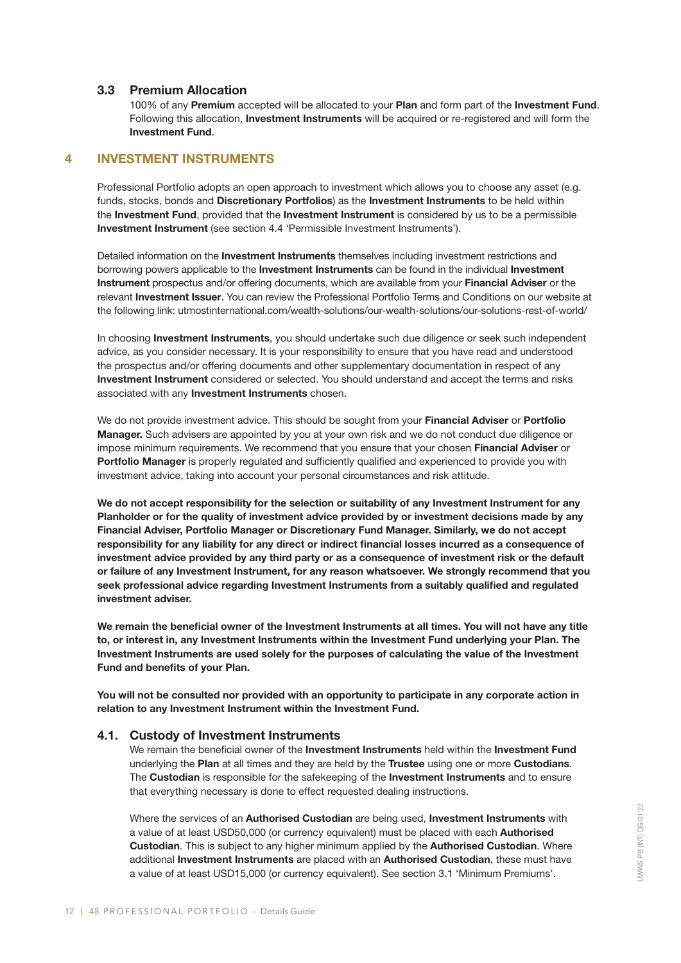# 3.3 Premium Allocation

100% of any Premium accepted will be allocated to your Plan and form part of the Investment Fund. Following this allocation, Investment Instruments will be acquired or re-registered and will form the Investment Fund.

# 4 INVESTMENT INSTRUMENTS

Professional Portfolio adopts an open approach to investment which allows you to choose any asset (e.g. funds, stocks, bonds and Discretionary Portfolios) as the Investment Instruments to be held within the Investment Fund, provided that the Investment Instrument is considered by us to be a permissible Investment Instrument (see section 4.4 'Permissible Investment Instruments').

Detailed information on the Investment Instruments themselves including investment restrictions and borrowing powers applicable to the **Investment Instruments** can be found in the individual Investment Instrument prospectus and/or offering documents, which are available from your Financial Adviser or the relevant Investment Issuer. You can review the Professional Portfolio Terms and Conditions on our website at the following link: utmostinternational.com/wealth-solutions/our-wealth-solutions/our-solutions-rest-of-world/

In choosing Investment Instruments, you should undertake such due diligence or seek such independent advice, as you consider necessary. It is your responsibility to ensure that you have read and understood the prospectus and/or offering documents and other supplementary documentation in respect of any Investment Instrument considered or selected. You should understand and accept the terms and risks associated with any Investment Instruments chosen.

We do not provide investment advice. This should be sought from your Financial Adviser or Portfolio Manager. Such advisers are appointed by you at your own risk and we do not conduct due diligence or impose minimum requirements. We recommend that you ensure that your chosen Financial Adviser or Portfolio Manager is properly regulated and sufficiently qualified and experienced to provide you with investment advice, taking into account your personal circumstances and risk attitude.

We do not accept responsibility for the selection or suitability of any Investment Instrument for any Planholder or for the quality of investment advice provided by or investment decisions made by any Financial Adviser, Portfolio Manager or Discretionary Fund Manager. Similarly, we do not accept responsibility for any liability for any direct or indirect financial losses incurred as a consequence of investment advice provided by any third party or as a consequence of investment risk or the default or failure of any Investment Instrument, for any reason whatsoever. We strongly recommend that you seek professional advice regarding Investment Instruments from a suitably qualified and regulated investment adviser.

We remain the beneficial owner of the Investment Instruments at all times. You will not have any title to, or interest in, any Investment Instruments within the Investment Fund underlying your Plan. The Investment Instruments are used solely for the purposes of calculating the value of the Investment Fund and benefits of your Plan.

You will not be consulted nor provided with an opportunity to participate in any corporate action in relation to any Investment Instrument within the Investment Fund.

# 4.1. Custody of Investment Instruments

We remain the beneficial owner of the Investment Instruments held within the Investment Fund underlying the Plan at all times and they are held by the Trustee using one or more Custodians. The Custodian is responsible for the safekeeping of the Investment Instruments and to ensure that everything necessary is done to effect requested dealing instructions.

Where the services of an Authorised Custodian are being used, Investment Instruments with a value of at least USD50,000 (or currency equivalent) must be placed with each Authorised Custodian. This is subject to any higher minimum applied by the Authorised Custodian. Where additional Investment Instruments are placed with an Authorised Custodian, these must have a value of at least USD15,000 (or currency equivalent). See section 3.1 'Minimum Premiums'.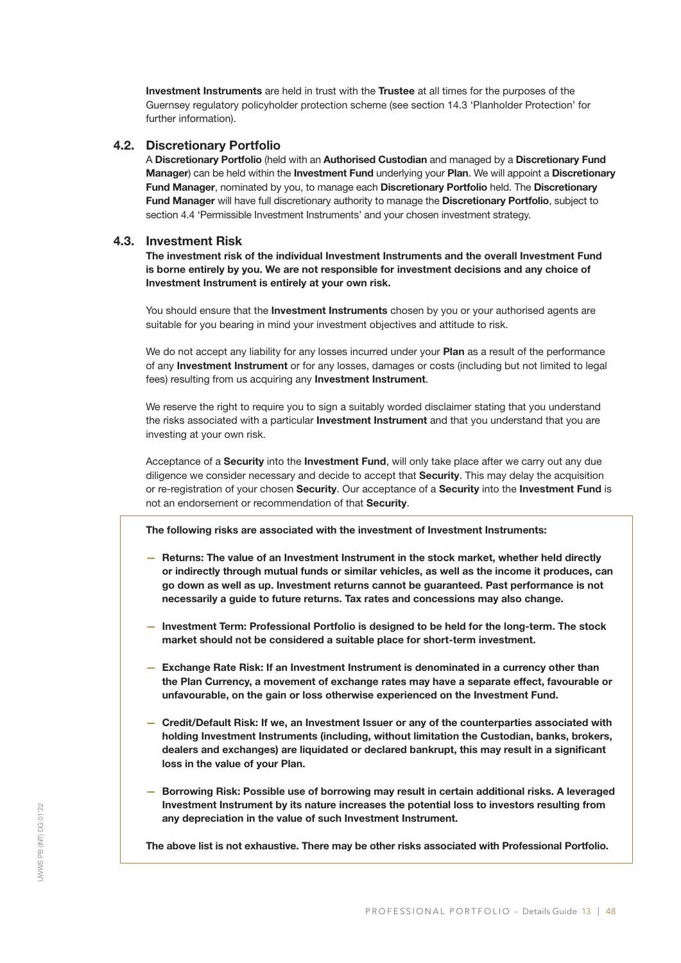Investment Instruments are held in trust with the Trustee at all times for the purposes of the Guernsey regulatory policyholder protection scheme (see section 14.3 'Planholder Protection' for further information).

# 4.2. Discretionary Portfolio

A Discretionary Portfolio (held with an Authorised Custodian and managed by a Discretionary Fund Manager) can be held within the Investment Fund underlying your Plan. We will appoint a Discretionary Fund Manager, nominated by you, to manage each Discretionary Portfolio held. The Discretionary Fund Manager will have full discretionary authority to manage the Discretionary Portfolio, subject to section 4.4 'Permissible Investment Instruments' and your chosen investment strategy.

# 4.3. Investment Risk

The investment risk of the individual Investment Instruments and the overall Investment Fund is borne entirely by you. We are not responsible for investment decisions and any choice of Investment Instrument is entirely at your own risk.

You should ensure that the **Investment Instruments** chosen by you or your authorised agents are suitable for you bearing in mind your investment objectives and attitude to risk.

We do not accept any liability for any losses incurred under your Plan as a result of the performance of any **Investment Instrument** or for any losses, damages or costs (including but not limited to legal fees) resulting from us acquiring any Investment Instrument.

We reserve the right to require you to sign a suitably worded disclaimer stating that you understand the risks associated with a particular **Investment Instrument** and that you understand that you are investing at your own risk.

Acceptance of a Security into the Investment Fund, will only take place after we carry out any due diligence we consider necessary and decide to accept that Security. This may delay the acquisition or re-registration of your chosen Security. Our acceptance of a Security into the Investment Fund is not an endorsement or recommendation of that Security.

The following risks are associated with the investment of Investment Instruments:

- Returns: The value of an Investment Instrument in the stock market, whether held directly or indirectly through mutual funds or similar vehicles, as well as the income it produces, can go down as well as up. Investment returns cannot be guaranteed. Past performance is not necessarily a guide to future returns. Tax rates and concessions may also change.
- Investment Term: Professional Portfolio is designed to be held for the long-term. The stock market should not be considered a suitable place for short-term investment.
- Exchange Rate Risk: If an Investment Instrument is denominated in a currency other than the Plan Currency, a movement of exchange rates may have a separate effect, favourable or unfavourable, on the gain or loss otherwise experienced on the Investment Fund.
- Credit/Default Risk: If we, an Investment Issuer or any of the counterparties associated with holding Investment Instruments (including, without limitation the Custodian, banks, brokers, dealers and exchanges) are liquidated or declared bankrupt, this may result in a significant loss in the value of your Plan.
- Borrowing Risk: Possible use of borrowing may result in certain additional risks. A leveraged Investment Instrument by its nature increases the potential loss to investors resulting from any depreciation in the value of such Investment Instrument.

The above list is not exhaustive. There may be other risks associated with Professional Portfolio.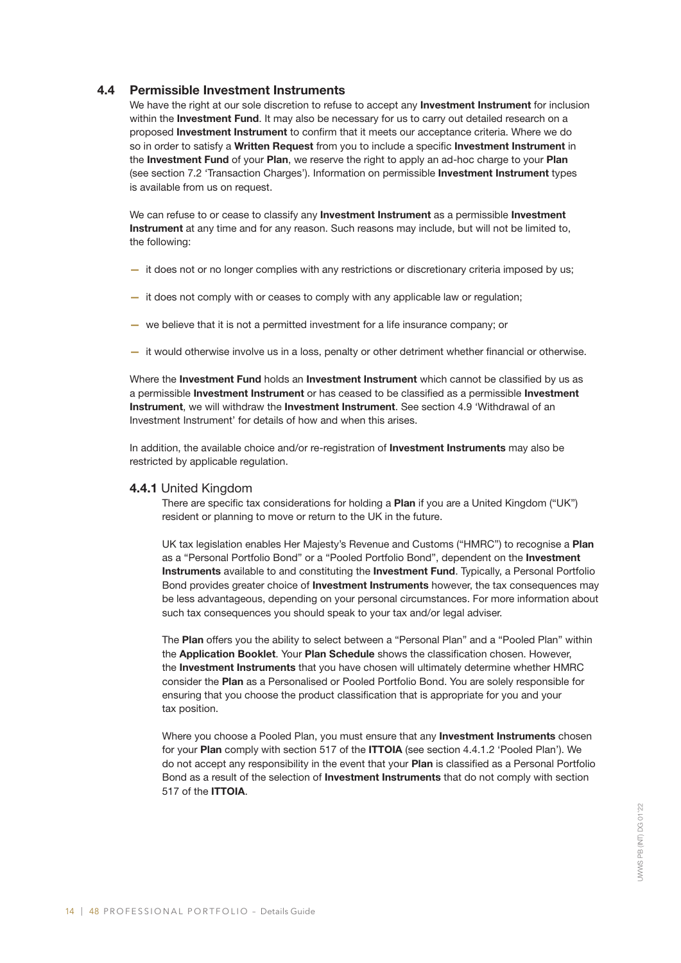# 4.4 Permissible Investment Instruments

We have the right at our sole discretion to refuse to accept any Investment Instrument for inclusion within the Investment Fund. It may also be necessary for us to carry out detailed research on a proposed Investment Instrument to confirm that it meets our acceptance criteria. Where we do so in order to satisfy a Written Request from you to include a specific Investment Instrument in the Investment Fund of your Plan, we reserve the right to apply an ad-hoc charge to your Plan (see section 7.2 'Transaction Charges'). Information on permissible Investment Instrument types is available from us on request.

We can refuse to or cease to classify any **Investment Instrument** as a permissible **Investment** Instrument at any time and for any reason. Such reasons may include, but will not be limited to, the following:

- it does not or no longer complies with any restrictions or discretionary criteria imposed by us;
- it does not comply with or ceases to comply with any applicable law or regulation;
- we believe that it is not a permitted investment for a life insurance company; or
- it would otherwise involve us in a loss, penalty or other detriment whether financial or otherwise.

Where the Investment Fund holds an Investment Instrument which cannot be classified by us as a permissible Investment Instrument or has ceased to be classified as a permissible Investment Instrument, we will withdraw the Investment Instrument. See section 4.9 'Withdrawal of an Investment Instrument' for details of how and when this arises.

In addition, the available choice and/or re-registration of Investment Instruments may also be restricted by applicable regulation.

#### 4.4.1 United Kingdom

There are specific tax considerations for holding a Plan if you are a United Kingdom ("UK") resident or planning to move or return to the UK in the future.

UK tax legislation enables Her Majesty's Revenue and Customs ("HMRC") to recognise a Plan as a "Personal Portfolio Bond" or a "Pooled Portfolio Bond", dependent on the Investment Instruments available to and constituting the Investment Fund. Typically, a Personal Portfolio Bond provides greater choice of **Investment Instruments** however, the tax consequences may be less advantageous, depending on your personal circumstances. For more information about such tax consequences you should speak to your tax and/or legal adviser.

The Plan offers you the ability to select between a "Personal Plan" and a "Pooled Plan" within the Application Booklet. Your Plan Schedule shows the classification chosen. However, the Investment Instruments that you have chosen will ultimately determine whether HMRC consider the Plan as a Personalised or Pooled Portfolio Bond. You are solely responsible for ensuring that you choose the product classification that is appropriate for you and your tax position.

Where you choose a Pooled Plan, you must ensure that any **Investment Instruments** chosen for your Plan comply with section 517 of the ITTOIA (see section 4.4.1.2 'Pooled Plan'). We do not accept any responsibility in the event that your Plan is classified as a Personal Portfolio Bond as a result of the selection of **Investment Instruments** that do not comply with section 517 of the ITTOIA.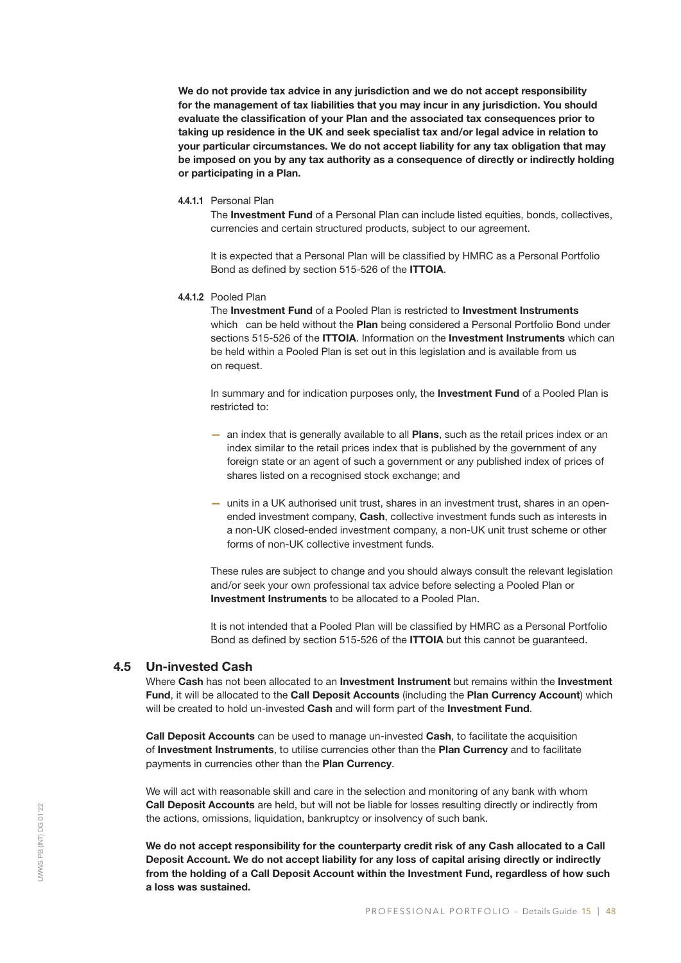We do not provide tax advice in any jurisdiction and we do not accept responsibility for the management of tax liabilities that you may incur in any jurisdiction. You should evaluate the classification of your Plan and the associated tax consequences prior to taking up residence in the UK and seek specialist tax and/or legal advice in relation to your particular circumstances. We do not accept liability for any tax obligation that may be imposed on you by any tax authority as a consequence of directly or indirectly holding or participating in a Plan.

#### 4.4.1.1 Personal Plan

The Investment Fund of a Personal Plan can include listed equities, bonds, collectives, currencies and certain structured products, subject to our agreement.

It is expected that a Personal Plan will be classified by HMRC as a Personal Portfolio Bond as defined by section 515-526 of the ITTOIA.

4.4.1.2 Pooled Plan

The Investment Fund of a Pooled Plan is restricted to Investment Instruments which can be held without the **Plan** being considered a Personal Portfolio Bond under sections 515-526 of the ITTOIA. Information on the Investment Instruments which can be held within a Pooled Plan is set out in this legislation and is available from us on request.

In summary and for indication purposes only, the Investment Fund of a Pooled Plan is restricted to:

- an index that is generally available to all Plans, such as the retail prices index or an index similar to the retail prices index that is published by the government of any foreign state or an agent of such a government or any published index of prices of shares listed on a recognised stock exchange; and
- units in a UK authorised unit trust, shares in an investment trust, shares in an openended investment company, Cash, collective investment funds such as interests in a non-UK closed-ended investment company, a non-UK unit trust scheme or other forms of non-UK collective investment funds.

These rules are subject to change and you should always consult the relevant legislation and/or seek your own professional tax advice before selecting a Pooled Plan or Investment Instruments to be allocated to a Pooled Plan.

It is not intended that a Pooled Plan will be classified by HMRC as a Personal Portfolio Bond as defined by section 515-526 of the ITTOIA but this cannot be guaranteed.

# 4.5 Un-invested Cash

Where Cash has not been allocated to an Investment Instrument but remains within the Investment Fund, it will be allocated to the Call Deposit Accounts (including the Plan Currency Account) which will be created to hold un-invested Cash and will form part of the Investment Fund.

Call Deposit Accounts can be used to manage un-invested Cash, to facilitate the acquisition of Investment Instruments, to utilise currencies other than the Plan Currency and to facilitate payments in currencies other than the Plan Currency.

We will act with reasonable skill and care in the selection and monitoring of any bank with whom Call Deposit Accounts are held, but will not be liable for losses resulting directly or indirectly from the actions, omissions, liquidation, bankruptcy or insolvency of such bank.

We do not accept responsibility for the counterparty credit risk of any Cash allocated to a Call Deposit Account. We do not accept liability for any loss of capital arising directly or indirectly from the holding of a Call Deposit Account within the Investment Fund, regardless of how such a loss was sustained.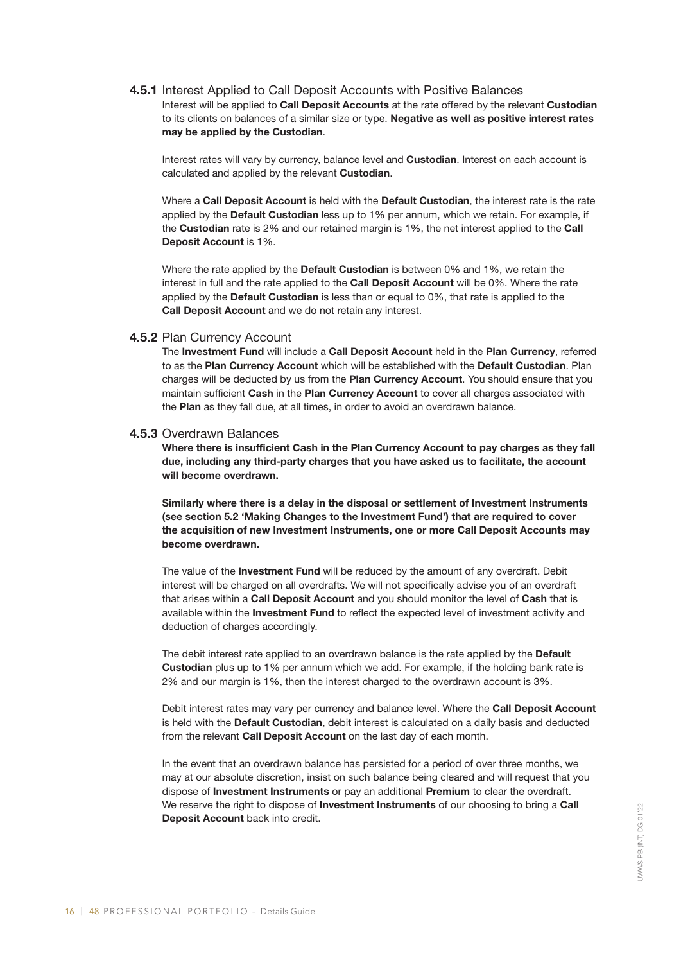# 4.5.1 Interest Applied to Call Deposit Accounts with Positive Balances

Interest will be applied to Call Deposit Accounts at the rate offered by the relevant Custodian to its clients on balances of a similar size or type. Negative as well as positive interest rates may be applied by the Custodian.

Interest rates will vary by currency, balance level and **Custodian**. Interest on each account is calculated and applied by the relevant Custodian.

Where a Call Deposit Account is held with the Default Custodian, the interest rate is the rate applied by the Default Custodian less up to 1% per annum, which we retain. For example, if the Custodian rate is 2% and our retained margin is 1%, the net interest applied to the Call Deposit Account is 1%.

Where the rate applied by the **Default Custodian** is between 0% and 1%, we retain the interest in full and the rate applied to the Call Deposit Account will be 0%. Where the rate applied by the Default Custodian is less than or equal to 0%, that rate is applied to the Call Deposit Account and we do not retain any interest.

#### 4.5.2 Plan Currency Account

The Investment Fund will include a Call Deposit Account held in the Plan Currency, referred to as the Plan Currency Account which will be established with the Default Custodian. Plan charges will be deducted by us from the Plan Currency Account. You should ensure that you maintain sufficient Cash in the Plan Currency Account to cover all charges associated with the Plan as they fall due, at all times, in order to avoid an overdrawn balance.

#### 4.5.3 Overdrawn Balances

Where there is insufficient Cash in the Plan Currency Account to pay charges as they fall due, including any third-party charges that you have asked us to facilitate, the account will become overdrawn.

Similarly where there is a delay in the disposal or settlement of Investment Instruments (see section 5.2 'Making Changes to the Investment Fund') that are required to cover the acquisition of new Investment Instruments, one or more Call Deposit Accounts may become overdrawn.

The value of the **Investment Fund** will be reduced by the amount of any overdraft. Debit interest will be charged on all overdrafts. We will not specifically advise you of an overdraft that arises within a Call Deposit Account and you should monitor the level of Cash that is available within the Investment Fund to reflect the expected level of investment activity and deduction of charges accordingly.

The debit interest rate applied to an overdrawn balance is the rate applied by the Default Custodian plus up to 1% per annum which we add. For example, if the holding bank rate is 2% and our margin is 1%, then the interest charged to the overdrawn account is 3%.

Debit interest rates may vary per currency and balance level. Where the Call Deposit Account is held with the Default Custodian, debit interest is calculated on a daily basis and deducted from the relevant Call Deposit Account on the last day of each month.

In the event that an overdrawn balance has persisted for a period of over three months, we may at our absolute discretion, insist on such balance being cleared and will request that you dispose of Investment Instruments or pay an additional Premium to clear the overdraft. We reserve the right to dispose of **Investment Instruments** of our choosing to bring a Call Deposit Account back into credit.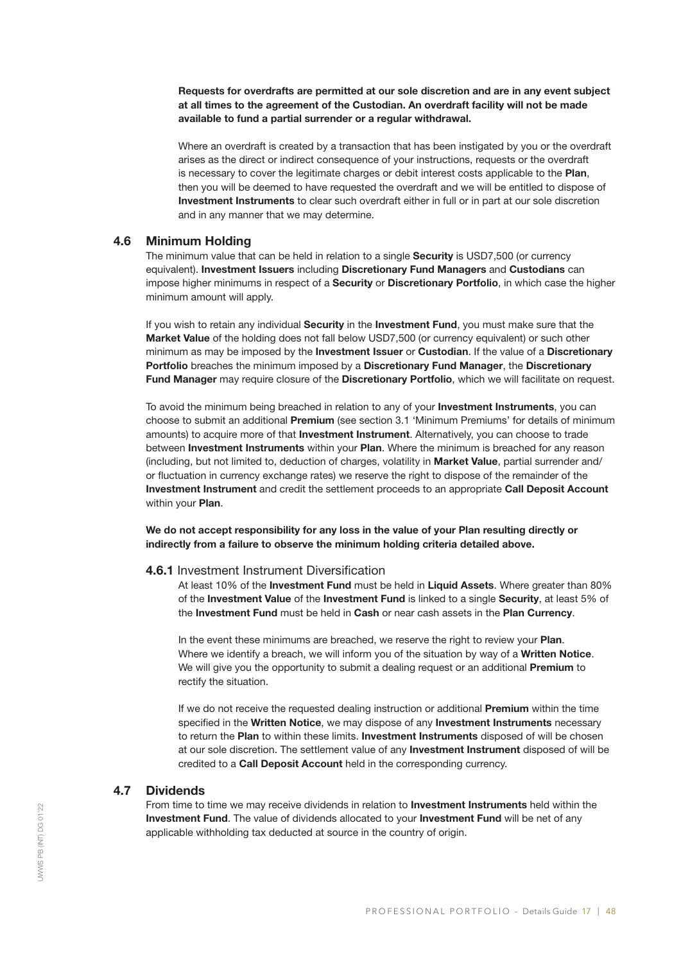Requests for overdrafts are permitted at our sole discretion and are in any event subject at all times to the agreement of the Custodian. An overdraft facility will not be made available to fund a partial surrender or a regular withdrawal.

Where an overdraft is created by a transaction that has been instigated by you or the overdraft arises as the direct or indirect consequence of your instructions, requests or the overdraft is necessary to cover the legitimate charges or debit interest costs applicable to the Plan, then you will be deemed to have requested the overdraft and we will be entitled to dispose of Investment Instruments to clear such overdraft either in full or in part at our sole discretion and in any manner that we may determine.

#### 4.6 Minimum Holding

The minimum value that can be held in relation to a single Security is USD7,500 (or currency equivalent). Investment Issuers including Discretionary Fund Managers and Custodians can impose higher minimums in respect of a Security or Discretionary Portfolio, in which case the higher minimum amount will apply.

If you wish to retain any individual Security in the Investment Fund, you must make sure that the Market Value of the holding does not fall below USD7,500 (or currency equivalent) or such other minimum as may be imposed by the Investment Issuer or Custodian. If the value of a Discretionary Portfolio breaches the minimum imposed by a Discretionary Fund Manager, the Discretionary Fund Manager may require closure of the Discretionary Portfolio, which we will facilitate on request.

To avoid the minimum being breached in relation to any of your Investment Instruments, you can choose to submit an additional Premium (see section 3.1 'Minimum Premiums' for details of minimum amounts) to acquire more of that Investment Instrument. Alternatively, you can choose to trade between Investment Instruments within your Plan. Where the minimum is breached for any reason (including, but not limited to, deduction of charges, volatility in Market Value, partial surrender and/ or fluctuation in currency exchange rates) we reserve the right to dispose of the remainder of the Investment Instrument and credit the settlement proceeds to an appropriate Call Deposit Account within your **Plan.** 

We do not accept responsibility for any loss in the value of your Plan resulting directly or indirectly from a failure to observe the minimum holding criteria detailed above.

#### 4.6.1 Investment Instrument Diversification

At least 10% of the Investment Fund must be held in Liquid Assets. Where greater than 80% of the Investment Value of the Investment Fund is linked to a single Security, at least 5% of the Investment Fund must be held in Cash or near cash assets in the Plan Currency.

In the event these minimums are breached, we reserve the right to review your Plan. Where we identify a breach, we will inform you of the situation by way of a Written Notice. We will give you the opportunity to submit a dealing request or an additional Premium to rectify the situation.

If we do not receive the requested dealing instruction or additional **Premium** within the time specified in the Written Notice, we may dispose of any Investment Instruments necessary to return the Plan to within these limits. Investment Instruments disposed of will be chosen at our sole discretion. The settlement value of any Investment Instrument disposed of will be credited to a Call Deposit Account held in the corresponding currency.

# 4.7 Dividends

From time to time we may receive dividends in relation to **Investment Instruments** held within the Investment Fund. The value of dividends allocated to your Investment Fund will be net of any applicable withholding tax deducted at source in the country of origin.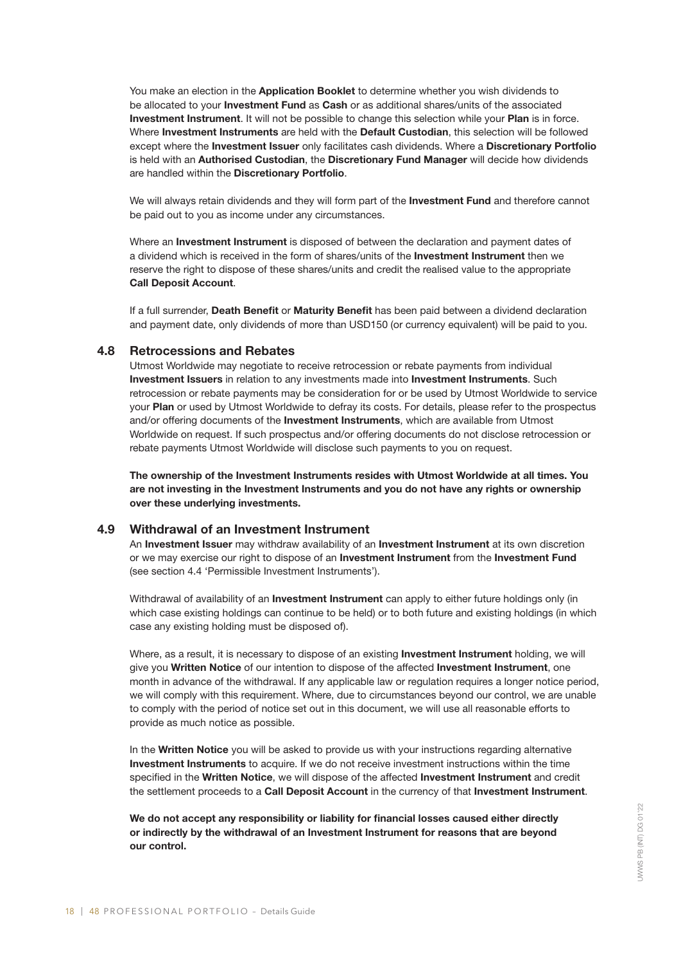You make an election in the Application Booklet to determine whether you wish dividends to be allocated to your Investment Fund as Cash or as additional shares/units of the associated Investment Instrument. It will not be possible to change this selection while your Plan is in force. Where Investment Instruments are held with the Default Custodian, this selection will be followed except where the Investment Issuer only facilitates cash dividends. Where a Discretionary Portfolio is held with an Authorised Custodian, the Discretionary Fund Manager will decide how dividends are handled within the Discretionary Portfolio.

We will always retain dividends and they will form part of the Investment Fund and therefore cannot be paid out to you as income under any circumstances.

Where an Investment Instrument is disposed of between the declaration and payment dates of a dividend which is received in the form of shares/units of the Investment Instrument then we reserve the right to dispose of these shares/units and credit the realised value to the appropriate Call Deposit Account.

If a full surrender, Death Benefit or Maturity Benefit has been paid between a dividend declaration and payment date, only dividends of more than USD150 (or currency equivalent) will be paid to you.

# 4.8 Retrocessions and Rebates

Utmost Worldwide may negotiate to receive retrocession or rebate payments from individual Investment Issuers in relation to any investments made into Investment Instruments. Such retrocession or rebate payments may be consideration for or be used by Utmost Worldwide to service your Plan or used by Utmost Worldwide to defray its costs. For details, please refer to the prospectus and/or offering documents of the **Investment Instruments**, which are available from Utmost Worldwide on request. If such prospectus and/or offering documents do not disclose retrocession or rebate payments Utmost Worldwide will disclose such payments to you on request.

The ownership of the Investment Instruments resides with Utmost Worldwide at all times. You are not investing in the Investment Instruments and you do not have any rights or ownership over these underlying investments.

# 4.9 Withdrawal of an Investment Instrument

An Investment Issuer may withdraw availability of an Investment Instrument at its own discretion or we may exercise our right to dispose of an Investment Instrument from the Investment Fund (see section 4.4 'Permissible Investment Instruments').

Withdrawal of availability of an **Investment Instrument** can apply to either future holdings only (in which case existing holdings can continue to be held) or to both future and existing holdings (in which case any existing holding must be disposed of).

Where, as a result, it is necessary to dispose of an existing **Investment Instrument** holding, we will give you Written Notice of our intention to dispose of the affected Investment Instrument, one month in advance of the withdrawal. If any applicable law or regulation requires a longer notice period, we will comply with this requirement. Where, due to circumstances beyond our control, we are unable to comply with the period of notice set out in this document, we will use all reasonable efforts to provide as much notice as possible.

In the Written Notice you will be asked to provide us with your instructions regarding alternative Investment Instruments to acquire. If we do not receive investment instructions within the time specified in the Written Notice, we will dispose of the affected Investment Instrument and credit the settlement proceeds to a Call Deposit Account in the currency of that Investment Instrument.

We do not accept any responsibility or liability for financial losses caused either directly or indirectly by the withdrawal of an Investment Instrument for reasons that are beyond our control.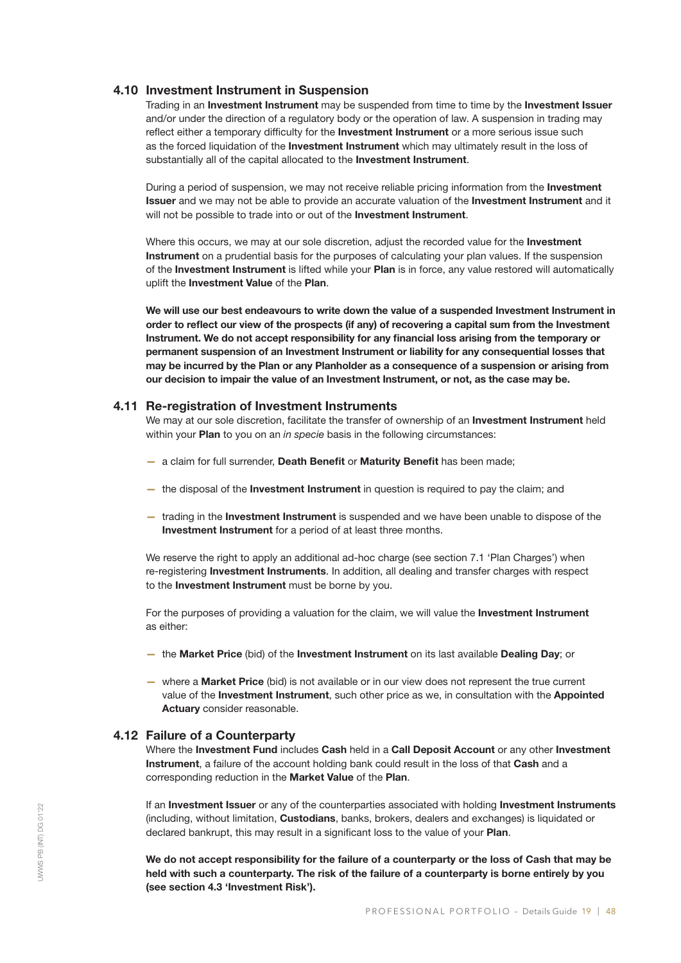### 4.10 Investment Instrument in Suspension

Trading in an Investment Instrument may be suspended from time to time by the Investment Issuer and/or under the direction of a regulatory body or the operation of law. A suspension in trading may reflect either a temporary difficulty for the Investment Instrument or a more serious issue such as the forced liquidation of the Investment Instrument which may ultimately result in the loss of substantially all of the capital allocated to the **Investment Instrument**.

During a period of suspension, we may not receive reliable pricing information from the Investment **Issuer** and we may not be able to provide an accurate valuation of the **Investment Instrument** and it will not be possible to trade into or out of the **Investment Instrument**.

Where this occurs, we may at our sole discretion, adjust the recorded value for the Investment Instrument on a prudential basis for the purposes of calculating your plan values. If the suspension of the Investment Instrument is lifted while your Plan is in force, any value restored will automatically uplift the Investment Value of the Plan.

We will use our best endeavours to write down the value of a suspended Investment Instrument in order to reflect our view of the prospects (if any) of recovering a capital sum from the Investment Instrument. We do not accept responsibility for any financial loss arising from the temporary or permanent suspension of an Investment Instrument or liability for any consequential losses that may be incurred by the Plan or any Planholder as a consequence of a suspension or arising from our decision to impair the value of an Investment Instrument, or not, as the case may be.

#### 4.11 Re-registration of Investment Instruments

We may at our sole discretion, facilitate the transfer of ownership of an **Investment Instrument** held within your Plan to you on an *in specie* basis in the following circumstances:

- a claim for full surrender, Death Benefit or Maturity Benefit has been made;
- the disposal of the **Investment Instrument** in question is required to pay the claim; and
- trading in the Investment Instrument is suspended and we have been unable to dispose of the Investment Instrument for a period of at least three months.

We reserve the right to apply an additional ad-hoc charge (see section 7.1 'Plan Charges') when re-registering Investment Instruments. In addition, all dealing and transfer charges with respect to the Investment Instrument must be borne by you.

For the purposes of providing a valuation for the claim, we will value the Investment Instrument as either:

- the Market Price (bid) of the Investment Instrument on its last available Dealing Day; or
- where a Market Price (bid) is not available or in our view does not represent the true current value of the Investment Instrument, such other price as we, in consultation with the Appointed Actuary consider reasonable.

# 4.12 Failure of a Counterparty

Where the Investment Fund includes Cash held in a Call Deposit Account or any other Investment Instrument, a failure of the account holding bank could result in the loss of that Cash and a corresponding reduction in the Market Value of the Plan.

If an Investment Issuer or any of the counterparties associated with holding Investment Instruments (including, without limitation, Custodians, banks, brokers, dealers and exchanges) is liquidated or declared bankrupt, this may result in a significant loss to the value of your Plan.

We do not accept responsibility for the failure of a counterparty or the loss of Cash that may be held with such a counterparty. The risk of the failure of a counterparty is borne entirely by you (see section 4.3 'Investment Risk').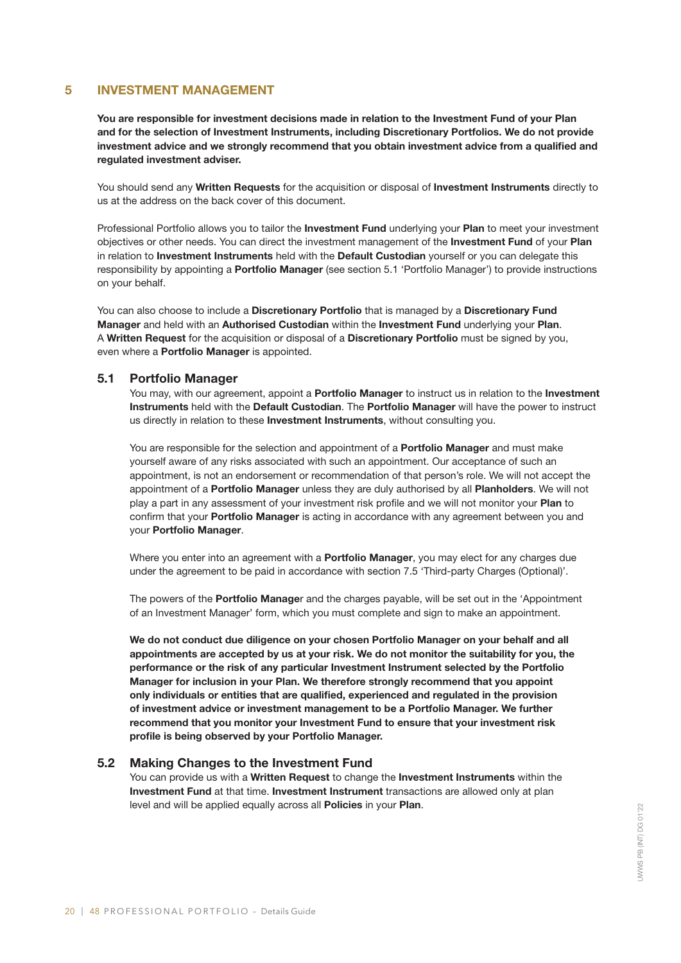# 5 INVESTMENT MANAGEMENT

You are responsible for investment decisions made in relation to the Investment Fund of your Plan and for the selection of Investment Instruments, including Discretionary Portfolios. We do not provide investment advice and we strongly recommend that you obtain investment advice from a qualified and regulated investment adviser.

You should send any Written Requests for the acquisition or disposal of Investment Instruments directly to us at the address on the back cover of this document.

Professional Portfolio allows you to tailor the Investment Fund underlying your Plan to meet your investment objectives or other needs. You can direct the investment management of the Investment Fund of your Plan in relation to Investment Instruments held with the Default Custodian yourself or you can delegate this responsibility by appointing a **Portfolio Manager** (see section 5.1 'Portfolio Manager') to provide instructions on your behalf.

You can also choose to include a Discretionary Portfolio that is managed by a Discretionary Fund Manager and held with an Authorised Custodian within the Investment Fund underlying your Plan. A Written Request for the acquisition or disposal of a Discretionary Portfolio must be signed by you, even where a **Portfolio Manager** is appointed.

#### 5.1 Portfolio Manager

You may, with our agreement, appoint a Portfolio Manager to instruct us in relation to the Investment Instruments held with the Default Custodian. The Portfolio Manager will have the power to instruct us directly in relation to these Investment Instruments, without consulting you.

You are responsible for the selection and appointment of a **Portfolio Manager** and must make yourself aware of any risks associated with such an appointment. Our acceptance of such an appointment, is not an endorsement or recommendation of that person's role. We will not accept the appointment of a Portfolio Manager unless they are duly authorised by all Planholders. We will not play a part in any assessment of your investment risk profile and we will not monitor your Plan to confirm that your Portfolio Manager is acting in accordance with any agreement between you and your Portfolio Manager.

Where you enter into an agreement with a **Portfolio Manager**, you may elect for any charges due under the agreement to be paid in accordance with section 7.5 'Third-party Charges (Optional)'.

The powers of the **Portfolio Manage**r and the charges payable, will be set out in the 'Appointment' of an Investment Manager' form, which you must complete and sign to make an appointment.

We do not conduct due diligence on your chosen Portfolio Manager on your behalf and all appointments are accepted by us at your risk. We do not monitor the suitability for you, the performance or the risk of any particular Investment Instrument selected by the Portfolio Manager for inclusion in your Plan. We therefore strongly recommend that you appoint only individuals or entities that are qualified, experienced and regulated in the provision of investment advice or investment management to be a Portfolio Manager. We further recommend that you monitor your Investment Fund to ensure that your investment risk profile is being observed by your Portfolio Manager.

### 5.2 Making Changes to the Investment Fund

You can provide us with a Written Request to change the Investment Instruments within the Investment Fund at that time. Investment Instrument transactions are allowed only at plan level and will be applied equally across all Policies in your Plan.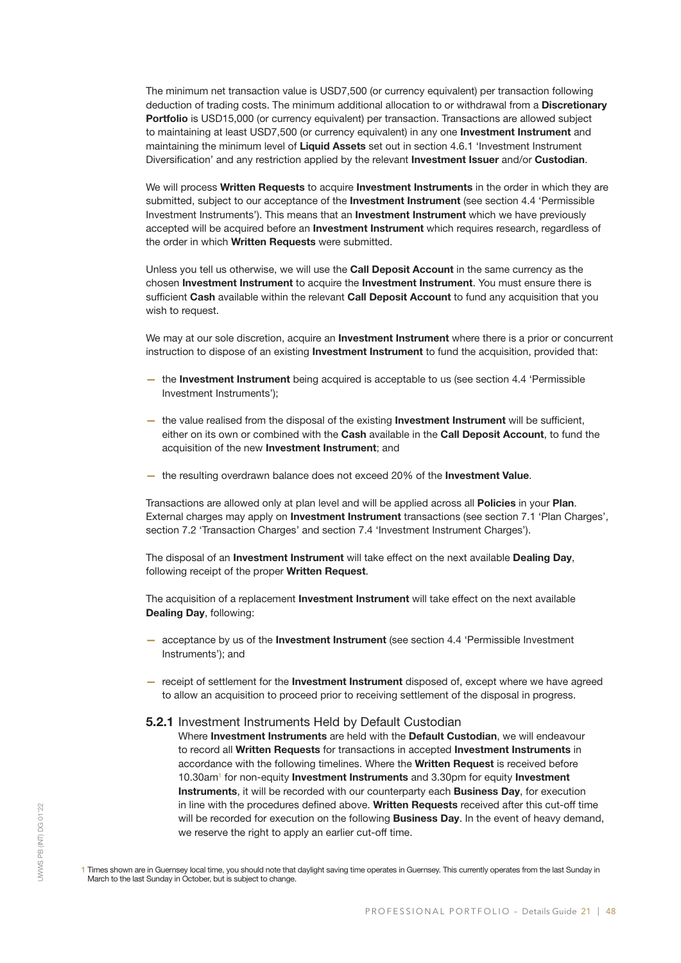The minimum net transaction value is USD7,500 (or currency equivalent) per transaction following deduction of trading costs. The minimum additional allocation to or withdrawal from a Discretionary Portfolio is USD15,000 (or currency equivalent) per transaction. Transactions are allowed subject to maintaining at least USD7,500 (or currency equivalent) in any one Investment Instrument and maintaining the minimum level of Liquid Assets set out in section 4.6.1 'Investment Instrument Diversification' and any restriction applied by the relevant **Investment Issuer** and/or **Custodian**.

We will process Written Requests to acquire Investment Instruments in the order in which they are submitted, subject to our acceptance of the **Investment Instrument** (see section 4.4 'Permissible Investment Instruments'). This means that an Investment Instrument which we have previously accepted will be acquired before an Investment Instrument which requires research, regardless of the order in which Written Requests were submitted.

Unless you tell us otherwise, we will use the Call Deposit Account in the same currency as the chosen Investment Instrument to acquire the Investment Instrument. You must ensure there is sufficient Cash available within the relevant Call Deposit Account to fund any acquisition that you wish to request.

We may at our sole discretion, acquire an **Investment Instrument** where there is a prior or concurrent instruction to dispose of an existing Investment Instrument to fund the acquisition, provided that:

- the Investment Instrument being acquired is acceptable to us (see section 4.4 'Permissible Investment Instruments');
- the value realised from the disposal of the existing Investment Instrument will be sufficient, either on its own or combined with the Cash available in the Call Deposit Account, to fund the acquisition of the new Investment Instrument; and
- the resulting overdrawn balance does not exceed 20% of the Investment Value.

Transactions are allowed only at plan level and will be applied across all Policies in your Plan. External charges may apply on Investment Instrument transactions (see section 7.1 'Plan Charges', section 7.2 'Transaction Charges' and section 7.4 'Investment Instrument Charges').

The disposal of an Investment Instrument will take effect on the next available Dealing Day, following receipt of the proper Written Request.

The acquisition of a replacement **Investment Instrument** will take effect on the next available Dealing Day, following:

- acceptance by us of the Investment Instrument (see section 4.4 'Permissible Investment Instruments'); and
- receipt of settlement for the Investment Instrument disposed of, except where we have agreed to allow an acquisition to proceed prior to receiving settlement of the disposal in progress.

#### 5.2.1 Investment Instruments Held by Default Custodian

Where Investment Instruments are held with the Default Custodian, we will endeavour to record all Written Requests for transactions in accepted Investment Instruments in accordance with the following timelines. Where the Written Request is received before 10.30am<sup>1</sup> for non-equity **Investment Instruments** and 3.30pm for equity Investment Instruments, it will be recorded with our counterparty each Business Day, for execution in line with the procedures defined above. Written Requests received after this cut-off time will be recorded for execution on the following **Business Day**. In the event of heavy demand, we reserve the right to apply an earlier cut-off time.

1 Times shown are in Guernsey local time, you should note that daylight saving time operates in Guernsey. This currently operates from the last Sunday in March to the last Sunday in October, but is subject to change.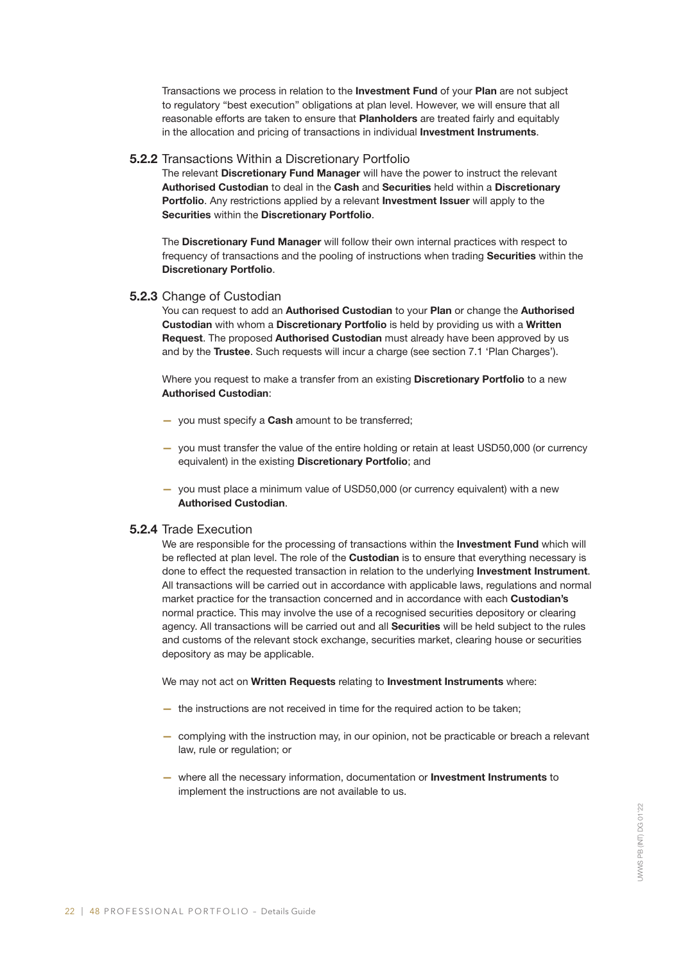Transactions we process in relation to the **Investment Fund** of your Plan are not subject to regulatory "best execution" obligations at plan level. However, we will ensure that all reasonable efforts are taken to ensure that Planholders are treated fairly and equitably in the allocation and pricing of transactions in individual **Investment Instruments**.

### 5.2.2 Transactions Within a Discretionary Portfolio

The relevant Discretionary Fund Manager will have the power to instruct the relevant Authorised Custodian to deal in the Cash and Securities held within a Discretionary **Portfolio.** Any restrictions applied by a relevant **Investment Issuer** will apply to the Securities within the Discretionary Portfolio.

The Discretionary Fund Manager will follow their own internal practices with respect to frequency of transactions and the pooling of instructions when trading Securities within the Discretionary Portfolio.

# 5.2.3 Change of Custodian

You can request to add an Authorised Custodian to your Plan or change the Authorised Custodian with whom a Discretionary Portfolio is held by providing us with a Written Request. The proposed Authorised Custodian must already have been approved by us and by the Trustee. Such requests will incur a charge (see section 7.1 'Plan Charges').

Where you request to make a transfer from an existing Discretionary Portfolio to a new Authorised Custodian:

- you must specify a **Cash** amount to be transferred;
- you must transfer the value of the entire holding or retain at least USD50,000 (or currency equivalent) in the existing Discretionary Portfolio; and
- you must place a minimum value of USD50,000 (or currency equivalent) with a new Authorised Custodian.

#### 5.2.4 Trade Execution

We are responsible for the processing of transactions within the **Investment Fund** which will be reflected at plan level. The role of the **Custodian** is to ensure that everything necessary is done to effect the requested transaction in relation to the underlying **Investment Instrument**. All transactions will be carried out in accordance with applicable laws, regulations and normal market practice for the transaction concerned and in accordance with each Custodian's normal practice. This may involve the use of a recognised securities depository or clearing agency. All transactions will be carried out and all Securities will be held subject to the rules and customs of the relevant stock exchange, securities market, clearing house or securities depository as may be applicable.

We may not act on Written Requests relating to Investment Instruments where:

- the instructions are not received in time for the required action to be taken;
- complying with the instruction may, in our opinion, not be practicable or breach a relevant law, rule or regulation; or
- where all the necessary information, documentation or Investment Instruments to implement the instructions are not available to us.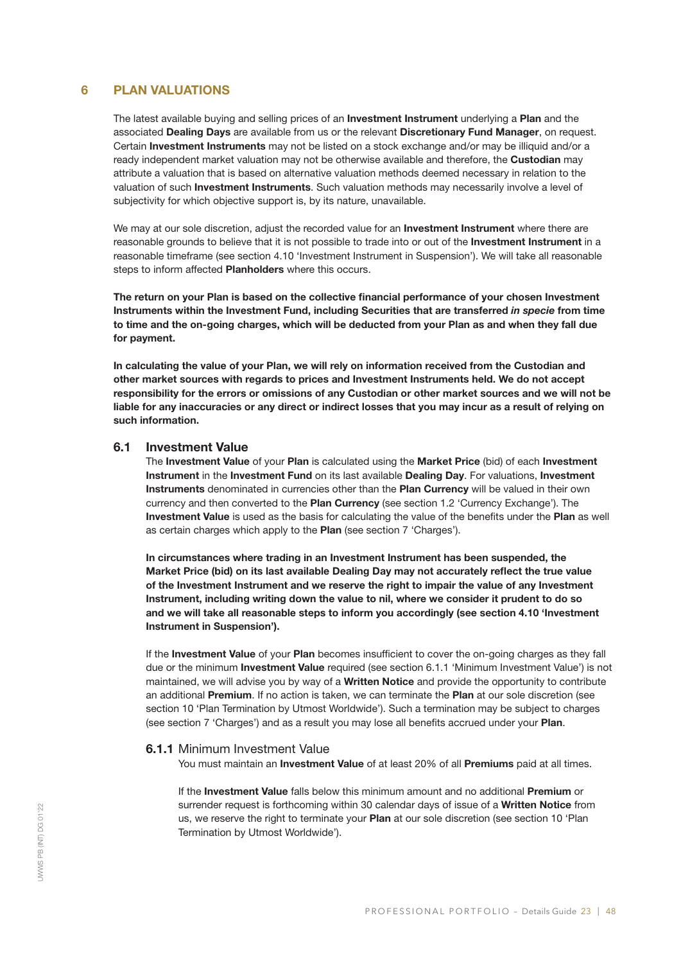# 6 PLAN VALUATIONS

The latest available buying and selling prices of an **Investment Instrument** underlying a Plan and the associated Dealing Days are available from us or the relevant Discretionary Fund Manager, on request. Certain Investment Instruments may not be listed on a stock exchange and/or may be illiquid and/or a ready independent market valuation may not be otherwise available and therefore, the Custodian may attribute a valuation that is based on alternative valuation methods deemed necessary in relation to the valuation of such Investment Instruments. Such valuation methods may necessarily involve a level of subjectivity for which objective support is, by its nature, unavailable.

We may at our sole discretion, adjust the recorded value for an **Investment Instrument** where there are reasonable grounds to believe that it is not possible to trade into or out of the Investment Instrument in a reasonable timeframe (see section 4.10 'Investment Instrument in Suspension'). We will take all reasonable steps to inform affected Planholders where this occurs.

The return on your Plan is based on the collective financial performance of your chosen Investment Instruments within the Investment Fund, including Securities that are transferred *in specie* from time to time and the on-going charges, which will be deducted from your Plan as and when they fall due for payment.

In calculating the value of your Plan, we will rely on information received from the Custodian and other market sources with regards to prices and Investment Instruments held. We do not accept responsibility for the errors or omissions of any Custodian or other market sources and we will not be liable for any inaccuracies or any direct or indirect losses that you may incur as a result of relying on such information.

#### 6.1 Investment Value

The Investment Value of your Plan is calculated using the Market Price (bid) of each Investment Instrument in the Investment Fund on its last available Dealing Day. For valuations, Investment Instruments denominated in currencies other than the Plan Currency will be valued in their own currency and then converted to the Plan Currency (see section 1.2 'Currency Exchange'). The Investment Value is used as the basis for calculating the value of the benefits under the Plan as well as certain charges which apply to the Plan (see section 7 'Charges').

In circumstances where trading in an Investment Instrument has been suspended, the Market Price (bid) on its last available Dealing Day may not accurately reflect the true value of the Investment Instrument and we reserve the right to impair the value of any Investment Instrument, including writing down the value to nil, where we consider it prudent to do so and we will take all reasonable steps to inform you accordingly (see section 4.10 'Investment Instrument in Suspension').

If the Investment Value of your Plan becomes insufficient to cover the on-going charges as they fall due or the minimum Investment Value required (see section 6.1.1 'Minimum Investment Value') is not maintained, we will advise you by way of a Written Notice and provide the opportunity to contribute an additional Premium. If no action is taken, we can terminate the Plan at our sole discretion (see section 10 'Plan Termination by Utmost Worldwide'). Such a termination may be subject to charges (see section 7 'Charges') and as a result you may lose all benefits accrued under your Plan.

# 6.1.1 Minimum Investment Value

You must maintain an **Investment Value** of at least 20% of all **Premiums** paid at all times.

If the Investment Value falls below this minimum amount and no additional Premium or surrender request is forthcoming within 30 calendar days of issue of a Written Notice from us, we reserve the right to terminate your Plan at our sole discretion (see section 10 'Plan Termination by Utmost Worldwide').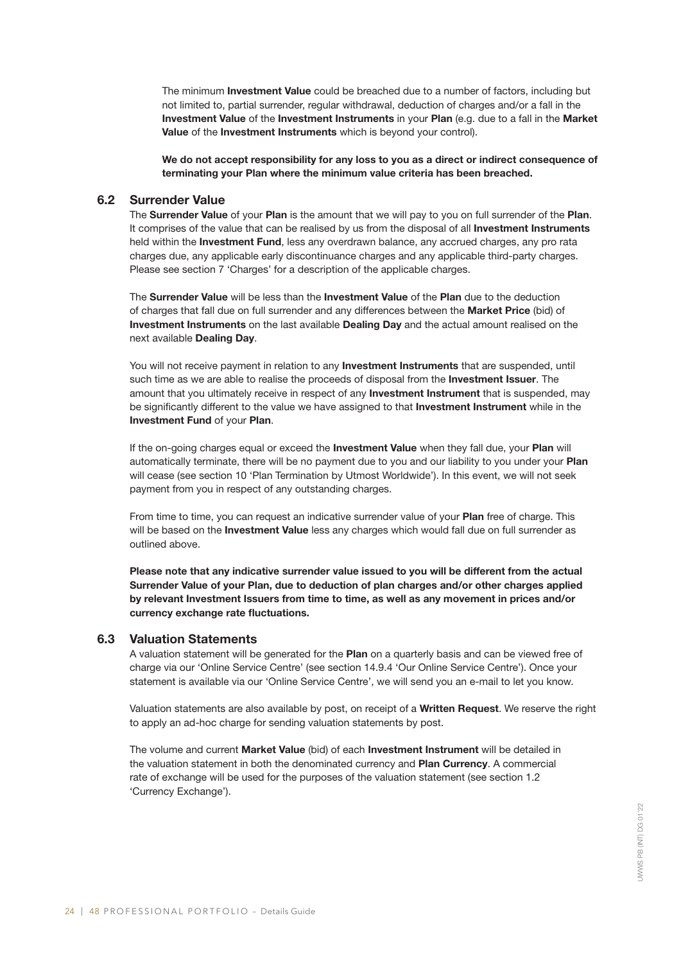The minimum Investment Value could be breached due to a number of factors, including but not limited to, partial surrender, regular withdrawal, deduction of charges and/or a fall in the Investment Value of the Investment Instruments in your Plan (e.g. due to a fall in the Market Value of the Investment Instruments which is beyond your control).

We do not accept responsibility for any loss to you as a direct or indirect consequence of terminating your Plan where the minimum value criteria has been breached.

# 6.2 Surrender Value

The Surrender Value of your Plan is the amount that we will pay to you on full surrender of the Plan. It comprises of the value that can be realised by us from the disposal of all **Investment Instruments** held within the Investment Fund, less any overdrawn balance, any accrued charges, any pro rata charges due, any applicable early discontinuance charges and any applicable third-party charges. Please see section 7 'Charges' for a description of the applicable charges.

The Surrender Value will be less than the Investment Value of the Plan due to the deduction of charges that fall due on full surrender and any differences between the Market Price (bid) of Investment Instruments on the last available Dealing Day and the actual amount realised on the next available Dealing Day.

You will not receive payment in relation to any **Investment Instruments** that are suspended, until such time as we are able to realise the proceeds of disposal from the Investment Issuer. The amount that you ultimately receive in respect of any Investment Instrument that is suspended, may be significantly different to the value we have assigned to that Investment Instrument while in the Investment Fund of your Plan.

If the on-going charges equal or exceed the Investment Value when they fall due, your Plan will automatically terminate, there will be no payment due to you and our liability to you under your Plan will cease (see section 10 'Plan Termination by Utmost Worldwide'). In this event, we will not seek payment from you in respect of any outstanding charges.

From time to time, you can request an indicative surrender value of your Plan free of charge. This will be based on the Investment Value less any charges which would fall due on full surrender as outlined above.

Please note that any indicative surrender value issued to you will be different from the actual Surrender Value of your Plan, due to deduction of plan charges and/or other charges applied by relevant Investment Issuers from time to time, as well as any movement in prices and/or currency exchange rate fluctuations.

#### 6.3 Valuation Statements

A valuation statement will be generated for the Plan on a quarterly basis and can be viewed free of charge via our 'Online Service Centre' (see section 14.9.4 'Our Online Service Centre'). Once your statement is available via our 'Online Service Centre', we will send you an e-mail to let you know.

Valuation statements are also available by post, on receipt of a Written Request. We reserve the right to apply an ad-hoc charge for sending valuation statements by post.

The volume and current Market Value (bid) of each Investment Instrument will be detailed in the valuation statement in both the denominated currency and **Plan Currency**. A commercial rate of exchange will be used for the purposes of the valuation statement (see section 1.2 'Currency Exchange').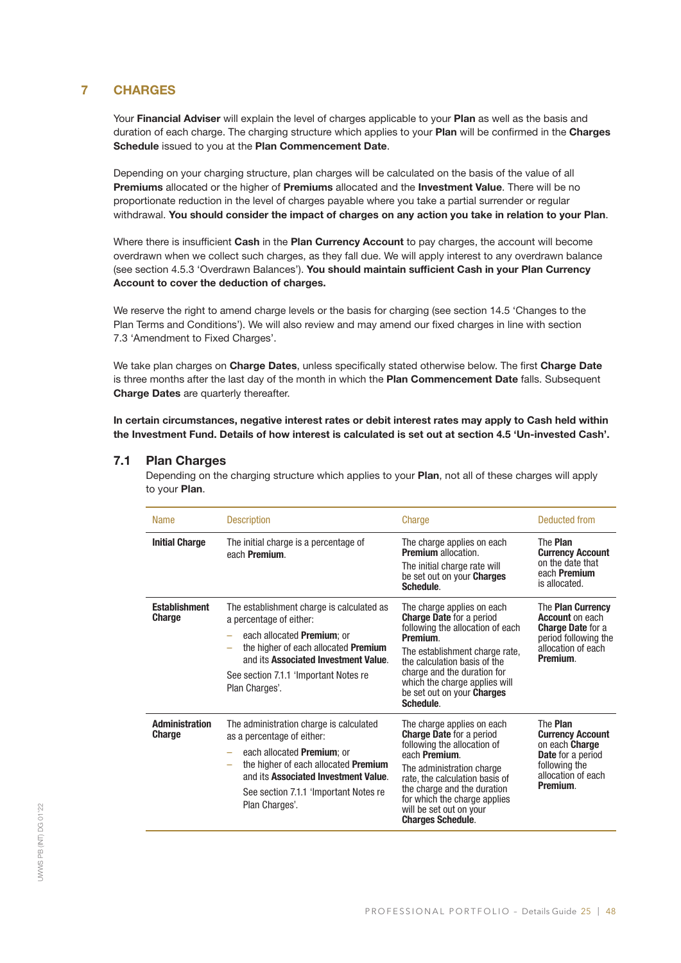# 7 CHARGES

Your Financial Adviser will explain the level of charges applicable to your Plan as well as the basis and duration of each charge. The charging structure which applies to your Plan will be confirmed in the Charges Schedule issued to you at the Plan Commencement Date.

Depending on your charging structure, plan charges will be calculated on the basis of the value of all Premiums allocated or the higher of Premiums allocated and the Investment Value. There will be no proportionate reduction in the level of charges payable where you take a partial surrender or regular withdrawal. You should consider the impact of charges on any action you take in relation to your Plan.

Where there is insufficient Cash in the Plan Currency Account to pay charges, the account will become overdrawn when we collect such charges, as they fall due. We will apply interest to any overdrawn balance (see section 4.5.3 'Overdrawn Balances'). You should maintain sufficient Cash in your Plan Currency Account to cover the deduction of charges.

We reserve the right to amend charge levels or the basis for charging (see section 14.5 'Changes to the Plan Terms and Conditions'). We will also review and may amend our fixed charges in line with section 7.3 'Amendment to Fixed Charges'.

We take plan charges on Charge Dates, unless specifically stated otherwise below. The first Charge Date is three months after the last day of the month in which the Plan Commencement Date falls. Subsequent Charge Dates are quarterly thereafter.

In certain circumstances, negative interest rates or debit interest rates may apply to Cash held within the Investment Fund. Details of how interest is calculated is set out at section 4.5 'Un-invested Cash'.

# 7.1 Plan Charges

Depending on the charging structure which applies to your **Plan**, not all of these charges will apply to your Plan.

| <b>Name</b>                            | <b>Description</b>                                                                                                                                                                                                                                           | Charge                                                                                                                                                                                                                                                                                                     | Deducted from                                                                                                                               |
|----------------------------------------|--------------------------------------------------------------------------------------------------------------------------------------------------------------------------------------------------------------------------------------------------------------|------------------------------------------------------------------------------------------------------------------------------------------------------------------------------------------------------------------------------------------------------------------------------------------------------------|---------------------------------------------------------------------------------------------------------------------------------------------|
| <b>Initial Charge</b>                  | The initial charge is a percentage of<br>each Premium.                                                                                                                                                                                                       | The charge applies on each<br><b>Premium</b> allocation.<br>The initial charge rate will<br>be set out on your <b>Charges</b><br>Schedule.                                                                                                                                                                 | The Plan<br><b>Currency Account</b><br>on the date that<br>each <b>Premium</b><br>is allocated.                                             |
| <b>Establishment</b><br>Charge         | The establishment charge is calculated as<br>a percentage of either:<br>each allocated <b>Premium</b> ; or<br>the higher of each allocated <b>Premium</b><br>and its Associated Investment Value.<br>See section 7.1.1 'Important Notes re<br>Plan Charges'. | The charge applies on each<br><b>Charge Date</b> for a period<br>following the allocation of each<br>Premium.<br>The establishment charge rate,<br>the calculation basis of the<br>charge and the duration for<br>which the charge applies will<br>be set out on your <b>Charges</b><br>Schedule.          | The <b>Plan Currency</b><br><b>Account on each</b><br><b>Charge Date for a</b><br>period following the<br>allocation of each<br>Premium.    |
| <b>Administration</b><br><b>Charge</b> | The administration charge is calculated<br>as a percentage of either:<br>each allocated Premium; or<br>the higher of each allocated <b>Premium</b><br>and its Associated Investment Value.<br>See section 7.1.1 'Important Notes re<br>Plan Charges'.        | The charge applies on each<br><b>Charge Date for a period</b><br>following the allocation of<br>each <b>Premium</b> .<br>The administration charge<br>rate, the calculation basis of<br>the charge and the duration<br>for which the charge applies<br>will be set out on your<br><b>Charges Schedule.</b> | The Plan<br><b>Currency Account</b><br>on each <b>Charge</b><br><b>Date</b> for a period<br>following the<br>allocation of each<br>Premium. |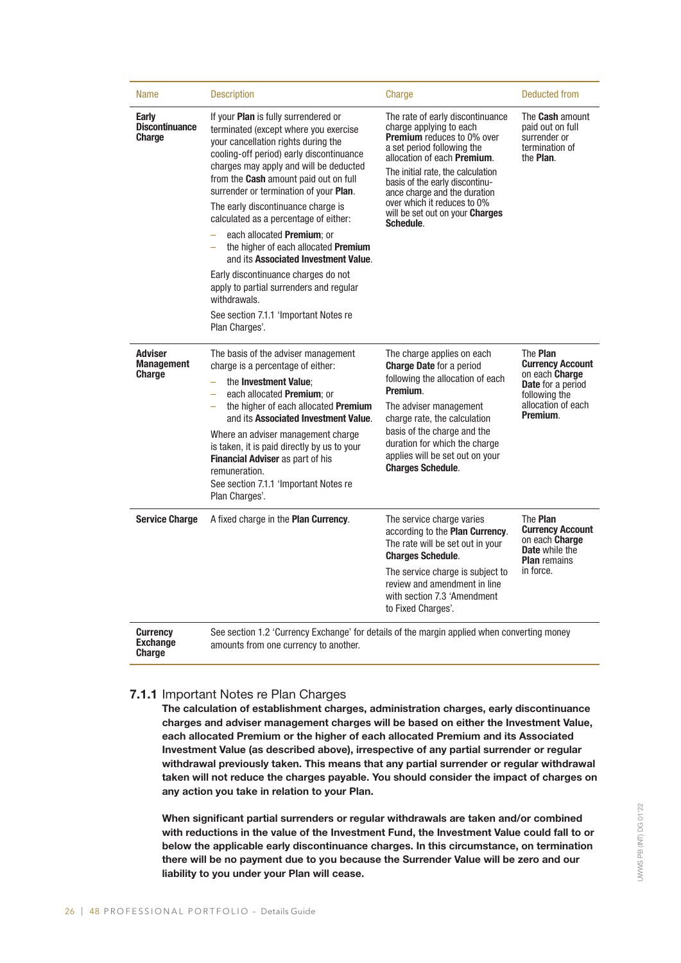| <b>Name</b>                                          | <b>Description</b>                                                                                                                                                                                                                                                                                                                                                                                                                                                                                                                                                                                                                                                                 | Charge                                                                                                                                                                                                                                                                                                                                                      | Deducted from                                                                                                                               |
|------------------------------------------------------|------------------------------------------------------------------------------------------------------------------------------------------------------------------------------------------------------------------------------------------------------------------------------------------------------------------------------------------------------------------------------------------------------------------------------------------------------------------------------------------------------------------------------------------------------------------------------------------------------------------------------------------------------------------------------------|-------------------------------------------------------------------------------------------------------------------------------------------------------------------------------------------------------------------------------------------------------------------------------------------------------------------------------------------------------------|---------------------------------------------------------------------------------------------------------------------------------------------|
| <b>Early</b><br><b>Discontinuance</b><br>Charge      | If your <b>Plan</b> is fully surrendered or<br>terminated (except where you exercise<br>your cancellation rights during the<br>cooling-off period) early discontinuance<br>charges may apply and will be deducted<br>from the Cash amount paid out on full<br>surrender or termination of your Plan.<br>The early discontinuance charge is<br>calculated as a percentage of either:<br>each allocated <b>Premium</b> ; or<br>the higher of each allocated <b>Premium</b><br>÷<br>and its Associated Investment Value.<br>Early discontinuance charges do not<br>apply to partial surrenders and regular<br>withdrawals.<br>See section 7.1.1 'Important Notes re<br>Plan Charges'. | The rate of early discontinuance<br>charge applying to each<br>Premium reduces to 0% over<br>a set period following the<br>allocation of each <b>Premium</b> .<br>The initial rate, the calculation<br>basis of the early discontinu-<br>ance charge and the duration<br>over which it reduces to 0%<br>will be set out on your <b>Charges</b><br>Schedule. | The <b>Cash</b> amount<br>paid out on full<br>surrender or<br>termination of<br>the <b>Plan</b> .                                           |
| <b>Adviser</b><br><b>Management</b><br><b>Charge</b> | The basis of the adviser management<br>charge is a percentage of either:<br>the <b>Investment Value</b> ;<br>÷,<br>each allocated Premium; or<br>÷.<br>the higher of each allocated Premium<br>and its Associated Investment Value.<br>Where an adviser management charge<br>is taken, it is paid directly by us to your<br>Financial Adviser as part of his<br>remuneration.<br>See section 7.1.1 'Important Notes re<br>Plan Charges'.                                                                                                                                                                                                                                           | The charge applies on each<br><b>Charge Date</b> for a period<br>following the allocation of each<br>Premium.<br>The adviser management<br>charge rate, the calculation<br>basis of the charge and the<br>duration for which the charge<br>applies will be set out on your<br><b>Charges Schedule.</b>                                                      | The Plan<br><b>Currency Account</b><br>on each <b>Charge</b><br><b>Date</b> for a period<br>following the<br>allocation of each<br>Premium. |
| <b>Service Charge</b>                                | A fixed charge in the Plan Currency.                                                                                                                                                                                                                                                                                                                                                                                                                                                                                                                                                                                                                                               | The service charge varies<br>according to the Plan Currency.<br>The rate will be set out in your<br><b>Charges Schedule.</b><br>The service charge is subject to<br>review and amendment in line<br>with section 7.3 'Amendment<br>to Fixed Charges'.                                                                                                       | The Plan<br><b>Currency Account</b><br>on each Charge<br><b>Date</b> while the<br><b>Plan</b> remains<br>in force.                          |
| <b>Currency</b><br><b>Exchange</b><br><b>Charge</b>  | See section 1.2 'Currency Exchange' for details of the margin applied when converting money<br>amounts from one currency to another.                                                                                                                                                                                                                                                                                                                                                                                                                                                                                                                                               |                                                                                                                                                                                                                                                                                                                                                             |                                                                                                                                             |

# 7.1.1 Important Notes re Plan Charges

The calculation of establishment charges, administration charges, early discontinuance charges and adviser management charges will be based on either the Investment Value, each allocated Premium or the higher of each allocated Premium and its Associated Investment Value (as described above), irrespective of any partial surrender or regular withdrawal previously taken. This means that any partial surrender or regular withdrawal taken will not reduce the charges payable. You should consider the impact of charges on any action you take in relation to your Plan.

When significant partial surrenders or regular withdrawals are taken and/or combined with reductions in the value of the Investment Fund, the Investment Value could fall to or below the applicable early discontinuance charges. In this circumstance, on termination there will be no payment due to you because the Surrender Value will be zero and our liability to you under your Plan will cease.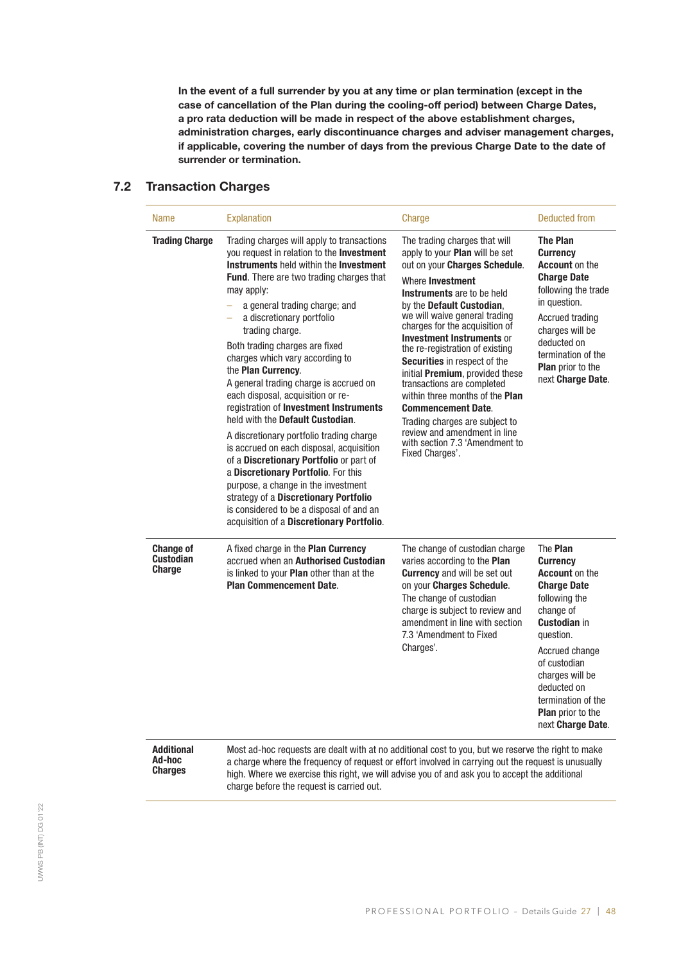In the event of a full surrender by you at any time or plan termination (except in the case of cancellation of the Plan during the cooling-off period) between Charge Dates, a pro rata deduction will be made in respect of the above establishment charges, administration charges, early discontinuance charges and adviser management charges, if applicable, covering the number of days from the previous Charge Date to the date of surrender or termination.

# 7.2 Transaction Charges

| <b>Name</b>                                           | <b>Explanation</b>                                                                                                                                                                                                                                                                                                                                                                                                                                                                                                                                                                                                                                                                                                                                                                                                                                                                                   | Charge                                                                                                                                                                                                                                                                                                                                                                                                                                                                                                                                                                                                                   | Deducted from                                                                                                                                                                                                                                                                                  |
|-------------------------------------------------------|------------------------------------------------------------------------------------------------------------------------------------------------------------------------------------------------------------------------------------------------------------------------------------------------------------------------------------------------------------------------------------------------------------------------------------------------------------------------------------------------------------------------------------------------------------------------------------------------------------------------------------------------------------------------------------------------------------------------------------------------------------------------------------------------------------------------------------------------------------------------------------------------------|--------------------------------------------------------------------------------------------------------------------------------------------------------------------------------------------------------------------------------------------------------------------------------------------------------------------------------------------------------------------------------------------------------------------------------------------------------------------------------------------------------------------------------------------------------------------------------------------------------------------------|------------------------------------------------------------------------------------------------------------------------------------------------------------------------------------------------------------------------------------------------------------------------------------------------|
| <b>Trading Charge</b>                                 | Trading charges will apply to transactions<br>you request in relation to the Investment<br>Instruments held within the Investment<br><b>Fund.</b> There are two trading charges that<br>may apply:<br>a general trading charge; and<br>a discretionary portfolio<br>÷,<br>trading charge.<br>Both trading charges are fixed<br>charges which vary according to<br>the Plan Currency.<br>A general trading charge is accrued on<br>each disposal, acquisition or re-<br>registration of Investment Instruments<br>held with the Default Custodian.<br>A discretionary portfolio trading charge<br>is accrued on each disposal, acquisition<br>of a Discretionary Portfolio or part of<br>a Discretionary Portfolio. For this<br>purpose, a change in the investment<br>strategy of a Discretionary Portfolio<br>is considered to be a disposal of and an<br>acquisition of a Discretionary Portfolio. | The trading charges that will<br>apply to your Plan will be set<br>out on your Charges Schedule.<br>Where Investment<br><b>Instruments</b> are to be held<br>by the Default Custodian,<br>we will waive general trading<br>charges for the acquisition of<br><b>Investment Instruments or</b><br>the re-registration of existing<br>Securities in respect of the<br>initial Premium, provided these<br>transactions are completed<br>within three months of the Plan<br><b>Commencement Date.</b><br>Trading charges are subject to<br>review and amendment in line<br>with section 7.3 'Amendment to<br>Fixed Charges'. | The Plan<br><b>Currency</b><br><b>Account on the</b><br><b>Charge Date</b><br>following the trade<br>in question.<br><b>Accrued trading</b><br>charges will be<br>deducted on<br>termination of the<br>Plan prior to the<br>next Charge Date.                                                  |
| <b>Change of</b><br><b>Custodian</b><br><b>Charge</b> | A fixed charge in the Plan Currency<br>accrued when an Authorised Custodian<br>is linked to your <b>Plan</b> other than at the<br><b>Plan Commencement Date.</b>                                                                                                                                                                                                                                                                                                                                                                                                                                                                                                                                                                                                                                                                                                                                     | The change of custodian charge<br>varies according to the Plan<br><b>Currency</b> and will be set out<br>on your Charges Schedule.<br>The change of custodian<br>charge is subject to review and<br>amendment in line with section<br>7.3 'Amendment to Fixed<br>Charges'.                                                                                                                                                                                                                                                                                                                                               | The <b>Plan</b><br><b>Currency</b><br><b>Account on the</b><br><b>Charge Date</b><br>following the<br>change of<br><b>Custodian in</b><br>question.<br>Accrued change<br>of custodian<br>charges will be<br>deducted on<br>termination of the<br><b>Plan</b> prior to the<br>next Charge Date. |
| <b>Additional</b><br>Ad-hoc<br><b>Charges</b>         | Most ad-hoc requests are dealt with at no additional cost to you, but we reserve the right to make<br>a charge where the frequency of request or effort involved in carrying out the request is unusually<br>high. Where we exercise this right, we will advise you of and ask you to accept the additional<br>charge before the request is carried out.                                                                                                                                                                                                                                                                                                                                                                                                                                                                                                                                             |                                                                                                                                                                                                                                                                                                                                                                                                                                                                                                                                                                                                                          |                                                                                                                                                                                                                                                                                                |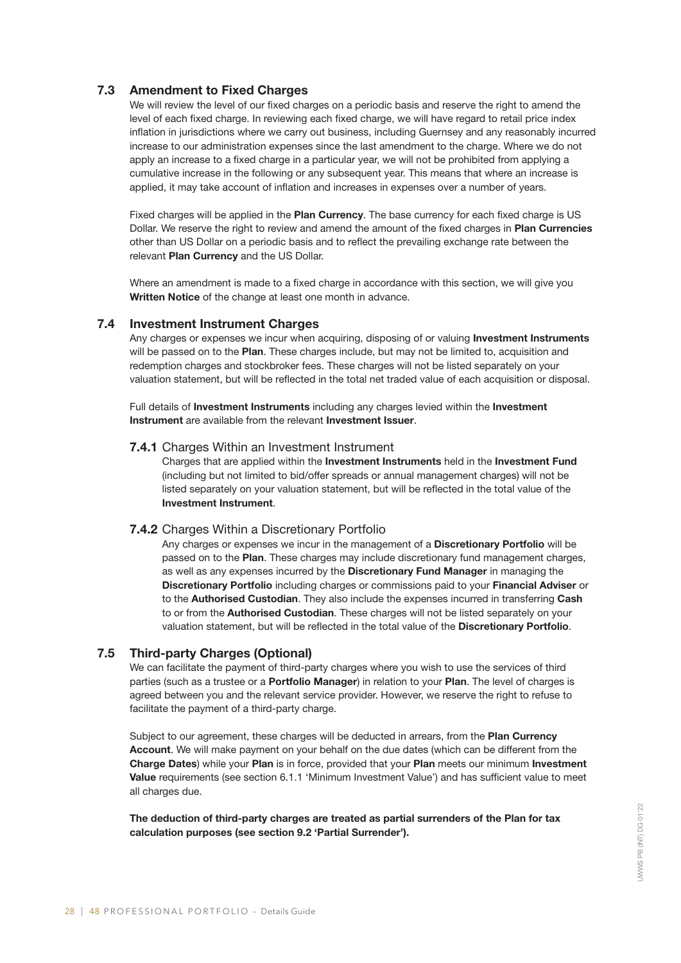# 7.3 Amendment to Fixed Charges

We will review the level of our fixed charges on a periodic basis and reserve the right to amend the level of each fixed charge. In reviewing each fixed charge, we will have regard to retail price index inflation in jurisdictions where we carry out business, including Guernsey and any reasonably incurred increase to our administration expenses since the last amendment to the charge. Where we do not apply an increase to a fixed charge in a particular year, we will not be prohibited from applying a cumulative increase in the following or any subsequent year. This means that where an increase is applied, it may take account of inflation and increases in expenses over a number of years.

Fixed charges will be applied in the **Plan Currency**. The base currency for each fixed charge is US Dollar. We reserve the right to review and amend the amount of the fixed charges in **Plan Currencies** other than US Dollar on a periodic basis and to reflect the prevailing exchange rate between the relevant Plan Currency and the US Dollar.

Where an amendment is made to a fixed charge in accordance with this section, we will give you Written Notice of the change at least one month in advance.

# 7.4 Investment Instrument Charges

Any charges or expenses we incur when acquiring, disposing of or valuing Investment Instruments will be passed on to the Plan. These charges include, but may not be limited to, acquisition and redemption charges and stockbroker fees. These charges will not be listed separately on your valuation statement, but will be reflected in the total net traded value of each acquisition or disposal.

Full details of Investment Instruments including any charges levied within the Investment Instrument are available from the relevant Investment Issuer.

# 7.4.1 Charges Within an Investment Instrument

Charges that are applied within the Investment Instruments held in the Investment Fund (including but not limited to bid/offer spreads or annual management charges) will not be listed separately on your valuation statement, but will be reflected in the total value of the Investment Instrument.

# 7.4.2 Charges Within a Discretionary Portfolio

Any charges or expenses we incur in the management of a Discretionary Portfolio will be passed on to the Plan. These charges may include discretionary fund management charges, as well as any expenses incurred by the Discretionary Fund Manager in managing the Discretionary Portfolio including charges or commissions paid to your Financial Adviser or to the **Authorised Custodian**. They also include the expenses incurred in transferring Cash to or from the **Authorised Custodian**. These charges will not be listed separately on your valuation statement, but will be reflected in the total value of the Discretionary Portfolio.

# 7.5 Third-party Charges (Optional)

We can facilitate the payment of third-party charges where you wish to use the services of third parties (such as a trustee or a Portfolio Manager) in relation to your Plan. The level of charges is agreed between you and the relevant service provider. However, we reserve the right to refuse to facilitate the payment of a third-party charge.

Subject to our agreement, these charges will be deducted in arrears, from the Plan Currency Account. We will make payment on your behalf on the due dates (which can be different from the Charge Dates) while your Plan is in force, provided that your Plan meets our minimum Investment Value requirements (see section 6.1.1 'Minimum Investment Value') and has sufficient value to meet all charges due.

The deduction of third-party charges are treated as partial surrenders of the Plan for tax calculation purposes (see section 9.2 'Partial Surrender').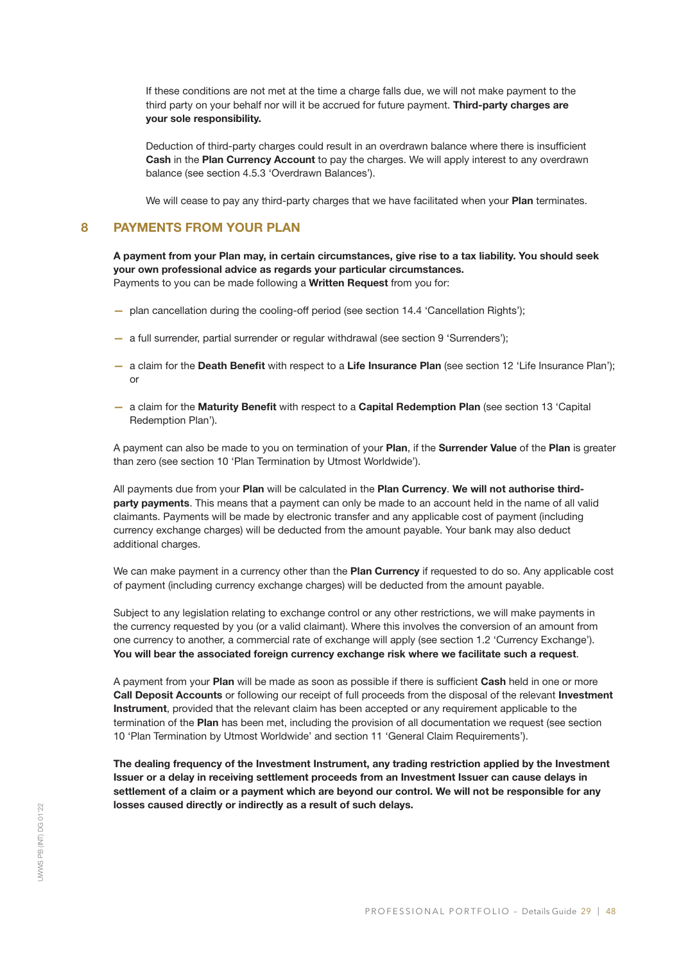If these conditions are not met at the time a charge falls due, we will not make payment to the third party on your behalf nor will it be accrued for future payment. Third-party charges are your sole responsibility.

Deduction of third-party charges could result in an overdrawn balance where there is insufficient Cash in the Plan Currency Account to pay the charges. We will apply interest to any overdrawn balance (see section 4.5.3 'Overdrawn Balances').

We will cease to pay any third-party charges that we have facilitated when your Plan terminates.

### 8 PAYMENTS FROM YOUR PLAN

A payment from your Plan may, in certain circumstances, give rise to a tax liability. You should seek your own professional advice as regards your particular circumstances. Payments to you can be made following a Written Request from you for:

- plan cancellation during the cooling-off period (see section 14.4 'Cancellation Rights');
- a full surrender, partial surrender or regular withdrawal (see section 9 'Surrenders');
- a claim for the Death Benefit with respect to a Life Insurance Plan (see section 12 'Life Insurance Plan'); or
- a claim for the Maturity Benefit with respect to a Capital Redemption Plan (see section 13 'Capital Redemption Plan').

A payment can also be made to you on termination of your Plan, if the Surrender Value of the Plan is greater than zero (see section 10 'Plan Termination by Utmost Worldwide').

All payments due from your Plan will be calculated in the Plan Currency. We will not authorise thirdparty payments. This means that a payment can only be made to an account held in the name of all valid claimants. Payments will be made by electronic transfer and any applicable cost of payment (including currency exchange charges) will be deducted from the amount payable. Your bank may also deduct additional charges.

We can make payment in a currency other than the **Plan Currency** if requested to do so. Any applicable cost of payment (including currency exchange charges) will be deducted from the amount payable.

Subject to any legislation relating to exchange control or any other restrictions, we will make payments in the currency requested by you (or a valid claimant). Where this involves the conversion of an amount from one currency to another, a commercial rate of exchange will apply (see section 1.2 'Currency Exchange'). You will bear the associated foreign currency exchange risk where we facilitate such a request.

A payment from your Plan will be made as soon as possible if there is sufficient Cash held in one or more Call Deposit Accounts or following our receipt of full proceeds from the disposal of the relevant Investment Instrument, provided that the relevant claim has been accepted or any requirement applicable to the termination of the Plan has been met, including the provision of all documentation we request (see section 10 'Plan Termination by Utmost Worldwide' and section 11 'General Claim Requirements').

The dealing frequency of the Investment Instrument, any trading restriction applied by the Investment Issuer or a delay in receiving settlement proceeds from an Investment Issuer can cause delays in settlement of a claim or a payment which are beyond our control. We will not be responsible for any losses caused directly or indirectly as a result of such delays.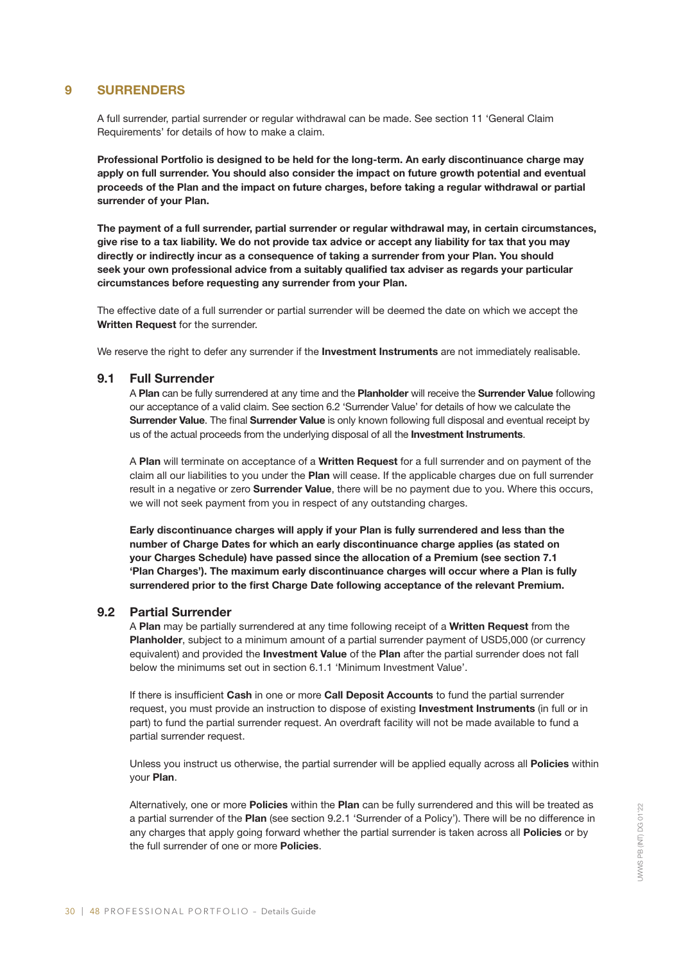# 9 SURRENDERS

A full surrender, partial surrender or regular withdrawal can be made. See section 11 'General Claim Requirements' for details of how to make a claim.

Professional Portfolio is designed to be held for the long-term. An early discontinuance charge may apply on full surrender. You should also consider the impact on future growth potential and eventual proceeds of the Plan and the impact on future charges, before taking a regular withdrawal or partial surrender of your Plan.

The payment of a full surrender, partial surrender or regular withdrawal may, in certain circumstances, give rise to a tax liability. We do not provide tax advice or accept any liability for tax that you may directly or indirectly incur as a consequence of taking a surrender from your Plan. You should seek your own professional advice from a suitably qualified tax adviser as regards your particular circumstances before requesting any surrender from your Plan.

The effective date of a full surrender or partial surrender will be deemed the date on which we accept the Written Request for the surrender.

We reserve the right to defer any surrender if the Investment Instruments are not immediately realisable.

# 9.1 Full Surrender

A Plan can be fully surrendered at any time and the Planholder will receive the Surrender Value following our acceptance of a valid claim. See section 6.2 'Surrender Value' for details of how we calculate the Surrender Value. The final Surrender Value is only known following full disposal and eventual receipt by us of the actual proceeds from the underlying disposal of all the Investment Instruments.

A Plan will terminate on acceptance of a Written Request for a full surrender and on payment of the claim all our liabilities to you under the Plan will cease. If the applicable charges due on full surrender result in a negative or zero Surrender Value, there will be no payment due to you. Where this occurs, we will not seek payment from you in respect of any outstanding charges.

Early discontinuance charges will apply if your Plan is fully surrendered and less than the number of Charge Dates for which an early discontinuance charge applies (as stated on your Charges Schedule) have passed since the allocation of a Premium (see section 7.1 'Plan Charges'). The maximum early discontinuance charges will occur where a Plan is fully surrendered prior to the first Charge Date following acceptance of the relevant Premium.

# 9.2 Partial Surrender

A Plan may be partially surrendered at any time following receipt of a Written Request from the Planholder, subject to a minimum amount of a partial surrender payment of USD5,000 (or currency equivalent) and provided the **Investment Value** of the Plan after the partial surrender does not fall below the minimums set out in section 6.1.1 'Minimum Investment Value'.

If there is insufficient Cash in one or more Call Deposit Accounts to fund the partial surrender request, you must provide an instruction to dispose of existing **Investment Instruments** (in full or in part) to fund the partial surrender request. An overdraft facility will not be made available to fund a partial surrender request.

Unless you instruct us otherwise, the partial surrender will be applied equally across all **Policies** within your Plan.

Alternatively, one or more Policies within the Plan can be fully surrendered and this will be treated as a partial surrender of the Plan (see section 9.2.1 'Surrender of a Policy'). There will be no difference in any charges that apply going forward whether the partial surrender is taken across all **Policies** or by the full surrender of one or more **Policies**.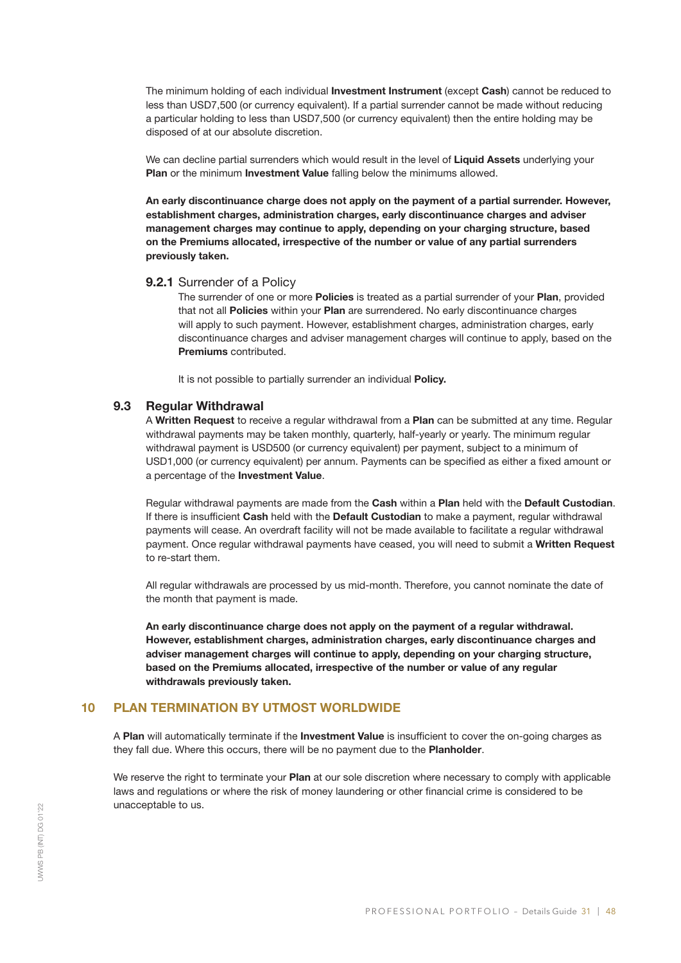The minimum holding of each individual Investment Instrument (except Cash) cannot be reduced to less than USD7,500 (or currency equivalent). If a partial surrender cannot be made without reducing a particular holding to less than USD7,500 (or currency equivalent) then the entire holding may be disposed of at our absolute discretion.

We can decline partial surrenders which would result in the level of Liquid Assets underlying your Plan or the minimum Investment Value falling below the minimums allowed.

An early discontinuance charge does not apply on the payment of a partial surrender. However, establishment charges, administration charges, early discontinuance charges and adviser management charges may continue to apply, depending on your charging structure, based on the Premiums allocated, irrespective of the number or value of any partial surrenders previously taken.

#### 9.2.1 Surrender of a Policy

The surrender of one or more Policies is treated as a partial surrender of your Plan, provided that not all Policies within your Plan are surrendered. No early discontinuance charges will apply to such payment. However, establishment charges, administration charges, early discontinuance charges and adviser management charges will continue to apply, based on the Premiums contributed.

It is not possible to partially surrender an individual Policy.

# 9.3 Regular Withdrawal

A Written Request to receive a regular withdrawal from a Plan can be submitted at any time. Regular withdrawal payments may be taken monthly, quarterly, half-yearly or yearly. The minimum regular withdrawal payment is USD500 (or currency equivalent) per payment, subject to a minimum of USD1,000 (or currency equivalent) per annum. Payments can be specified as either a fixed amount or a percentage of the Investment Value.

Regular withdrawal payments are made from the Cash within a Plan held with the Default Custodian. If there is insufficient Cash held with the Default Custodian to make a payment, regular withdrawal payments will cease. An overdraft facility will not be made available to facilitate a regular withdrawal payment. Once regular withdrawal payments have ceased, you will need to submit a Written Request to re-start them.

All regular withdrawals are processed by us mid-month. Therefore, you cannot nominate the date of the month that payment is made.

An early discontinuance charge does not apply on the payment of a regular withdrawal. However, establishment charges, administration charges, early discontinuance charges and adviser management charges will continue to apply, depending on your charging structure, based on the Premiums allocated, irrespective of the number or value of any regular withdrawals previously taken.

# 10 PLAN TERMINATION BY UTMOST WORLDWIDE

A Plan will automatically terminate if the Investment Value is insufficient to cover the on-going charges as they fall due. Where this occurs, there will be no payment due to the Planholder.

We reserve the right to terminate your Plan at our sole discretion where necessary to comply with applicable laws and regulations or where the risk of money laundering or other financial crime is considered to be unacceptable to us.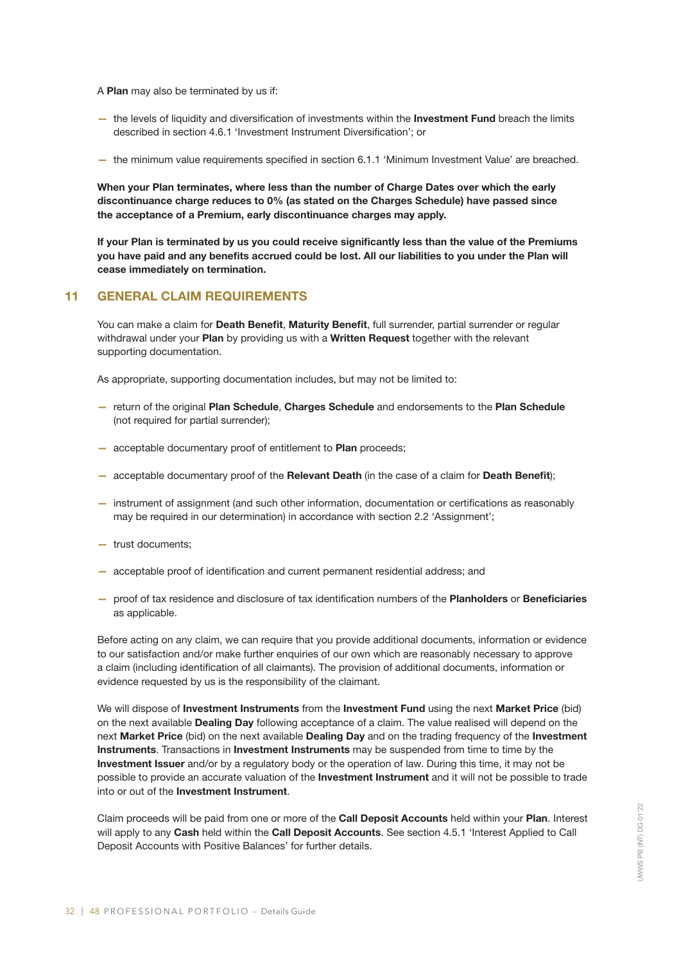- A Plan may also be terminated by us if:
- the levels of liquidity and diversification of investments within the Investment Fund breach the limits described in section 4.6.1 'Investment Instrument Diversification'; or
- the minimum value requirements specified in section 6.1.1 'Minimum Investment Value' are breached.

When your Plan terminates, where less than the number of Charge Dates over which the early discontinuance charge reduces to 0% (as stated on the Charges Schedule) have passed since the acceptance of a Premium, early discontinuance charges may apply.

If your Plan is terminated by us you could receive significantly less than the value of the Premiums you have paid and any benefits accrued could be lost. All our liabilities to you under the Plan will cease immediately on termination.

# 11 GENERAL CLAIM REQUIREMENTS

You can make a claim for Death Benefit, Maturity Benefit, full surrender, partial surrender or regular withdrawal under your Plan by providing us with a Written Request together with the relevant supporting documentation.

As appropriate, supporting documentation includes, but may not be limited to:

- return of the original Plan Schedule, Charges Schedule and endorsements to the Plan Schedule (not required for partial surrender);
- acceptable documentary proof of entitlement to Plan proceeds;
- acceptable documentary proof of the Relevant Death (in the case of a claim for Death Benefit);
- instrument of assignment (and such other information, documentation or certifications as reasonably may be required in our determination) in accordance with section 2.2 'Assignment';
- trust documents;
- acceptable proof of identification and current permanent residential address; and
- proof of tax residence and disclosure of tax identification numbers of the Planholders or Beneficiaries as applicable.

Before acting on any claim, we can require that you provide additional documents, information or evidence to our satisfaction and/or make further enquiries of our own which are reasonably necessary to approve a claim (including identification of all claimants). The provision of additional documents, information or evidence requested by us is the responsibility of the claimant.

We will dispose of Investment Instruments from the Investment Fund using the next Market Price (bid) on the next available **Dealing Day** following acceptance of a claim. The value realised will depend on the next Market Price (bid) on the next available Dealing Day and on the trading frequency of the Investment Instruments. Transactions in Investment Instruments may be suspended from time to time by the Investment Issuer and/or by a regulatory body or the operation of law. During this time, it may not be possible to provide an accurate valuation of the Investment Instrument and it will not be possible to trade into or out of the Investment Instrument.

Claim proceeds will be paid from one or more of the Call Deposit Accounts held within your Plan. Interest will apply to any Cash held within the Call Deposit Accounts. See section 4.5.1 'Interest Applied to Call Deposit Accounts with Positive Balances' for further details.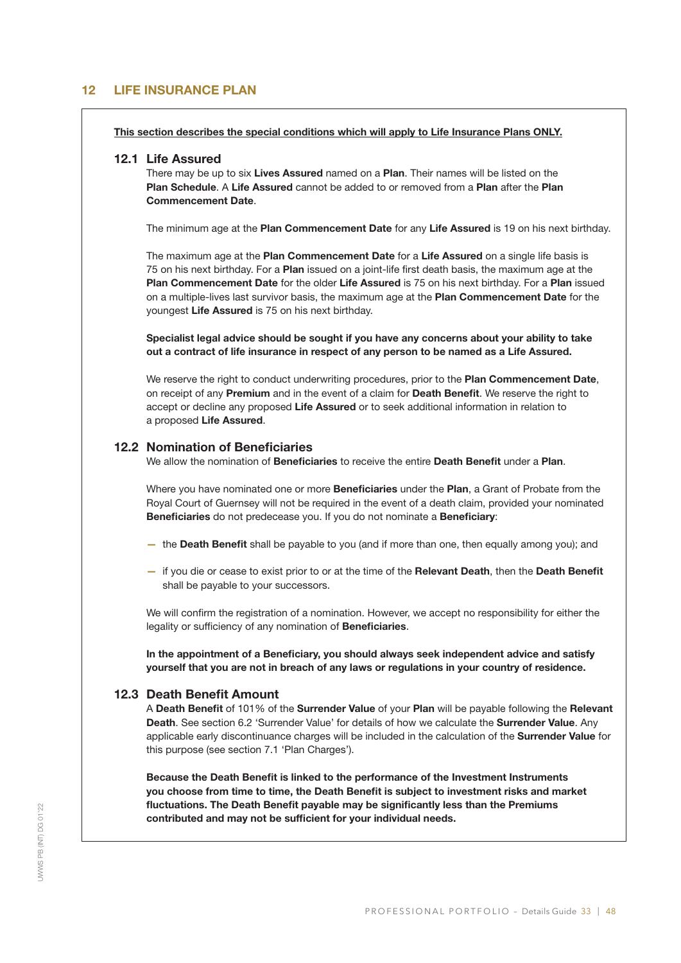# 12 LIFE INSURANCE PLAN

This section describes the special conditions which will apply to Life Insurance Plans ONLY.

#### 12.1 Life Assured

There may be up to six **Lives Assured** named on a **Plan**. Their names will be listed on the Plan Schedule. A Life Assured cannot be added to or removed from a Plan after the Plan Commencement Date.

The minimum age at the Plan Commencement Date for any Life Assured is 19 on his next birthday.

The maximum age at the Plan Commencement Date for a Life Assured on a single life basis is 75 on his next birthday. For a Plan issued on a joint-life first death basis, the maximum age at the Plan Commencement Date for the older Life Assured is 75 on his next birthday. For a Plan issued on a multiple-lives last survivor basis, the maximum age at the Plan Commencement Date for the youngest Life Assured is 75 on his next birthday.

Specialist legal advice should be sought if you have any concerns about your ability to take out a contract of life insurance in respect of any person to be named as a Life Assured.

We reserve the right to conduct underwriting procedures, prior to the Plan Commencement Date, on receipt of any Premium and in the event of a claim for Death Benefit. We reserve the right to accept or decline any proposed Life Assured or to seek additional information in relation to a proposed Life Assured.

# 12.2 Nomination of Beneficiaries

We allow the nomination of Beneficiaries to receive the entire Death Benefit under a Plan.

Where you have nominated one or more Beneficiaries under the Plan, a Grant of Probate from the Royal Court of Guernsey will not be required in the event of a death claim, provided your nominated Beneficiaries do not predecease you. If you do not nominate a Beneficiary:

- the Death Benefit shall be payable to you (and if more than one, then equally among you); and
- if you die or cease to exist prior to or at the time of the Relevant Death, then the Death Benefit shall be payable to your successors.

We will confirm the registration of a nomination. However, we accept no responsibility for either the legality or sufficiency of any nomination of Beneficiaries.

In the appointment of a Beneficiary, you should always seek independent advice and satisfy yourself that you are not in breach of any laws or regulations in your country of residence.

# 12.3 Death Benefit Amount

A Death Benefit of 101% of the Surrender Value of your Plan will be payable following the Relevant Death. See section 6.2 'Surrender Value' for details of how we calculate the Surrender Value. Any applicable early discontinuance charges will be included in the calculation of the Surrender Value for this purpose (see section 7.1 'Plan Charges').

Because the Death Benefit is linked to the performance of the Investment Instruments you choose from time to time, the Death Benefit is subject to investment risks and market fluctuations. The Death Benefit payable may be significantly less than the Premiums contributed and may not be sufficient for your individual needs.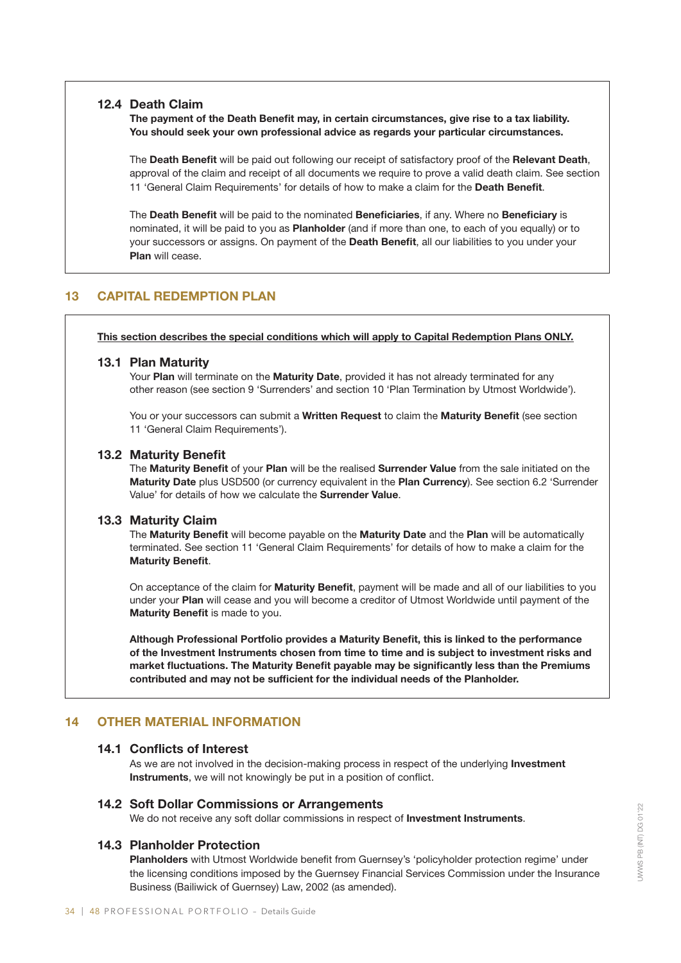# 12.4 Death Claim

The payment of the Death Benefit may, in certain circumstances, give rise to a tax liability. You should seek your own professional advice as regards your particular circumstances.

The Death Benefit will be paid out following our receipt of satisfactory proof of the Relevant Death, approval of the claim and receipt of all documents we require to prove a valid death claim. See section 11 'General Claim Requirements' for details of how to make a claim for the Death Benefit.

The Death Benefit will be paid to the nominated Beneficiaries, if any. Where no Beneficiary is nominated, it will be paid to you as Planholder (and if more than one, to each of you equally) or to your successors or assigns. On payment of the Death Benefit, all our liabilities to you under your Plan will cease.

# 13 CAPITAL REDEMPTION PLAN

This section describes the special conditions which will apply to Capital Redemption Plans ONLY.

# 13.1 Plan Maturity

Your Plan will terminate on the Maturity Date, provided it has not already terminated for any other reason (see section 9 'Surrenders' and section 10 'Plan Termination by Utmost Worldwide').

You or your successors can submit a Written Request to claim the Maturity Benefit (see section 11 'General Claim Requirements').

# 13.2 Maturity Benefit

The Maturity Benefit of your Plan will be the realised Surrender Value from the sale initiated on the Maturity Date plus USD500 (or currency equivalent in the Plan Currency). See section 6.2 'Surrender Value' for details of how we calculate the Surrender Value.

# 13.3 Maturity Claim

The Maturity Benefit will become payable on the Maturity Date and the Plan will be automatically terminated. See section 11 'General Claim Requirements' for details of how to make a claim for the Maturity Benefit.

On acceptance of the claim for Maturity Benefit, payment will be made and all of our liabilities to you under your Plan will cease and you will become a creditor of Utmost Worldwide until payment of the Maturity Benefit is made to you.

Although Professional Portfolio provides a Maturity Benefit, this is linked to the performance of the Investment Instruments chosen from time to time and is subject to investment risks and market fluctuations. The Maturity Benefit payable may be significantly less than the Premiums contributed and may not be sufficient for the individual needs of the Planholder.

# 14 OTHER MATERIAL INFORMATION

# 14.1 Conflicts of Interest

As we are not involved in the decision-making process in respect of the underlying **Investment** Instruments, we will not knowingly be put in a position of conflict.

# 14.2 Soft Dollar Commissions or Arrangements

We do not receive any soft dollar commissions in respect of Investment Instruments.

# 14.3 Planholder Protection

Planholders with Utmost Worldwide benefit from Guernsey's 'policyholder protection regime' under the licensing conditions imposed by the Guernsey Financial Services Commission under the Insurance Business (Bailiwick of Guernsey) Law, 2002 (as amended).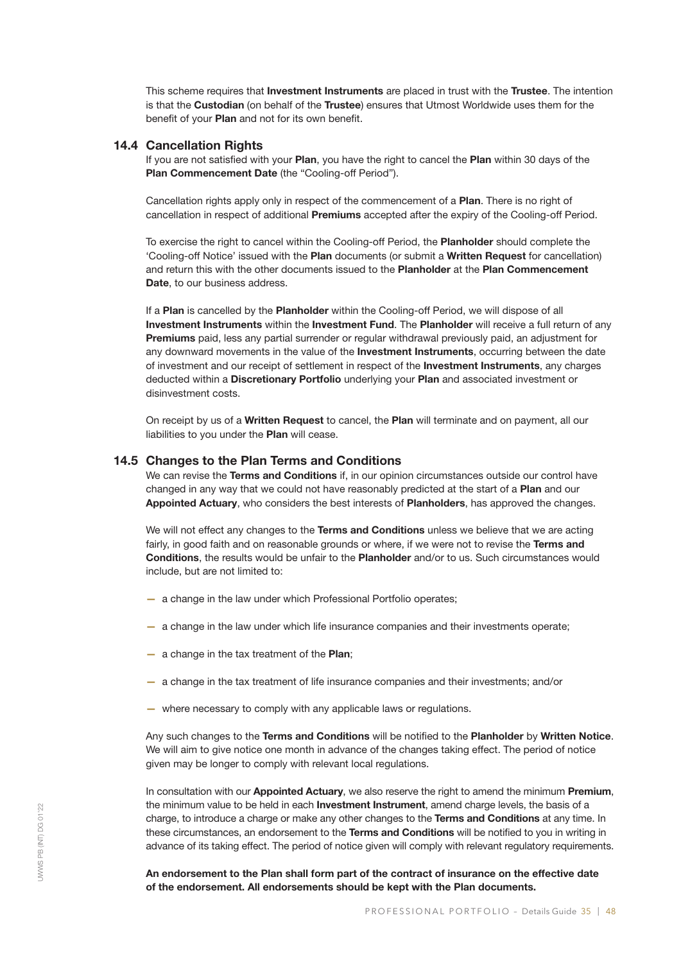This scheme requires that Investment Instruments are placed in trust with the Trustee. The intention is that the Custodian (on behalf of the Trustee) ensures that Utmost Worldwide uses them for the benefit of your Plan and not for its own benefit.

# 14.4 Cancellation Rights

If you are not satisfied with your Plan, you have the right to cancel the Plan within 30 days of the Plan Commencement Date (the "Cooling-off Period").

Cancellation rights apply only in respect of the commencement of a Plan. There is no right of cancellation in respect of additional Premiums accepted after the expiry of the Cooling-off Period.

To exercise the right to cancel within the Cooling-off Period, the Planholder should complete the 'Cooling-off Notice' issued with the Plan documents (or submit a Written Request for cancellation) and return this with the other documents issued to the Planholder at the Plan Commencement Date, to our business address.

If a Plan is cancelled by the Planholder within the Cooling-off Period, we will dispose of all Investment Instruments within the Investment Fund. The Planholder will receive a full return of any Premiums paid, less any partial surrender or regular withdrawal previously paid, an adjustment for any downward movements in the value of the Investment Instruments, occurring between the date of investment and our receipt of settlement in respect of the Investment Instruments, any charges deducted within a Discretionary Portfolio underlying your Plan and associated investment or disinvestment costs.

On receipt by us of a Written Request to cancel, the Plan will terminate and on payment, all our liabilities to you under the Plan will cease.

#### 14.5 Changes to the Plan Terms and Conditions

We can revise the Terms and Conditions if, in our opinion circumstances outside our control have changed in any way that we could not have reasonably predicted at the start of a Plan and our Appointed Actuary, who considers the best interests of Planholders, has approved the changes.

We will not effect any changes to the Terms and Conditions unless we believe that we are acting fairly, in good faith and on reasonable grounds or where, if we were not to revise the Terms and Conditions, the results would be unfair to the Planholder and/or to us. Such circumstances would include, but are not limited to:

- a change in the law under which Professional Portfolio operates;
- a change in the law under which life insurance companies and their investments operate;
- a change in the tax treatment of the Plan;
- a change in the tax treatment of life insurance companies and their investments; and/or
- where necessary to comply with any applicable laws or regulations.

Any such changes to the Terms and Conditions will be notified to the Planholder by Written Notice. We will aim to give notice one month in advance of the changes taking effect. The period of notice given may be longer to comply with relevant local regulations.

In consultation with our Appointed Actuary, we also reserve the right to amend the minimum Premium, the minimum value to be held in each Investment Instrument, amend charge levels, the basis of a charge, to introduce a charge or make any other changes to the Terms and Conditions at any time. In these circumstances, an endorsement to the Terms and Conditions will be notified to you in writing in advance of its taking effect. The period of notice given will comply with relevant regulatory requirements.

An endorsement to the Plan shall form part of the contract of insurance on the effective date of the endorsement. All endorsements should be kept with the Plan documents.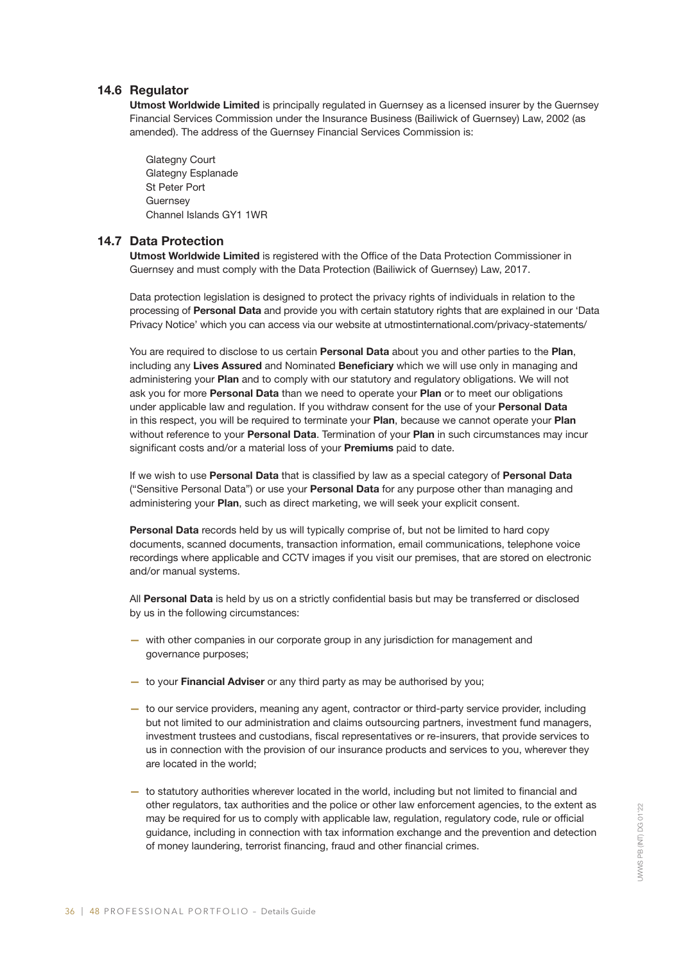# 14.6 Regulator

Utmost Worldwide Limited is principally regulated in Guernsey as a licensed insurer by the Guernsey Financial Services Commission under the Insurance Business (Bailiwick of Guernsey) Law, 2002 (as amended). The address of the Guernsey Financial Services Commission is:

Glategny Court Glategny Esplanade St Peter Port **Guernsey** Channel Islands GY1 1WR

# 14.7 Data Protection

Utmost Worldwide Limited is registered with the Office of the Data Protection Commissioner in Guernsey and must comply with the Data Protection (Bailiwick of Guernsey) Law, 2017.

Data protection legislation is designed to protect the privacy rights of individuals in relation to the processing of Personal Data and provide you with certain statutory rights that are explained in our 'Data Privacy Notice' which you can access via our website at utmostinternational.com/privacy-statements/

You are required to disclose to us certain Personal Data about you and other parties to the Plan, including any Lives Assured and Nominated Beneficiary which we will use only in managing and administering your Plan and to comply with our statutory and regulatory obligations. We will not ask you for more Personal Data than we need to operate your Plan or to meet our obligations under applicable law and regulation. If you withdraw consent for the use of your Personal Data in this respect, you will be required to terminate your Plan, because we cannot operate your Plan without reference to your Personal Data. Termination of your Plan in such circumstances may incur significant costs and/or a material loss of your Premiums paid to date.

If we wish to use Personal Data that is classified by law as a special category of Personal Data ("Sensitive Personal Data") or use your Personal Data for any purpose other than managing and administering your Plan, such as direct marketing, we will seek your explicit consent.

Personal Data records held by us will typically comprise of, but not be limited to hard copy documents, scanned documents, transaction information, email communications, telephone voice recordings where applicable and CCTV images if you visit our premises, that are stored on electronic and/or manual systems.

All Personal Data is held by us on a strictly confidential basis but may be transferred or disclosed by us in the following circumstances:

- with other companies in our corporate group in any jurisdiction for management and governance purposes;
- to your Financial Adviser or any third party as may be authorised by you;
- to our service providers, meaning any agent, contractor or third-party service provider, including but not limited to our administration and claims outsourcing partners, investment fund managers, investment trustees and custodians, fiscal representatives or re-insurers, that provide services to us in connection with the provision of our insurance products and services to you, wherever they are located in the world;
- to statutory authorities wherever located in the world, including but not limited to financial and other regulators, tax authorities and the police or other law enforcement agencies, to the extent as may be required for us to comply with applicable law, regulation, regulatory code, rule or official guidance, including in connection with tax information exchange and the prevention and detection of money laundering, terrorist financing, fraud and other financial crimes.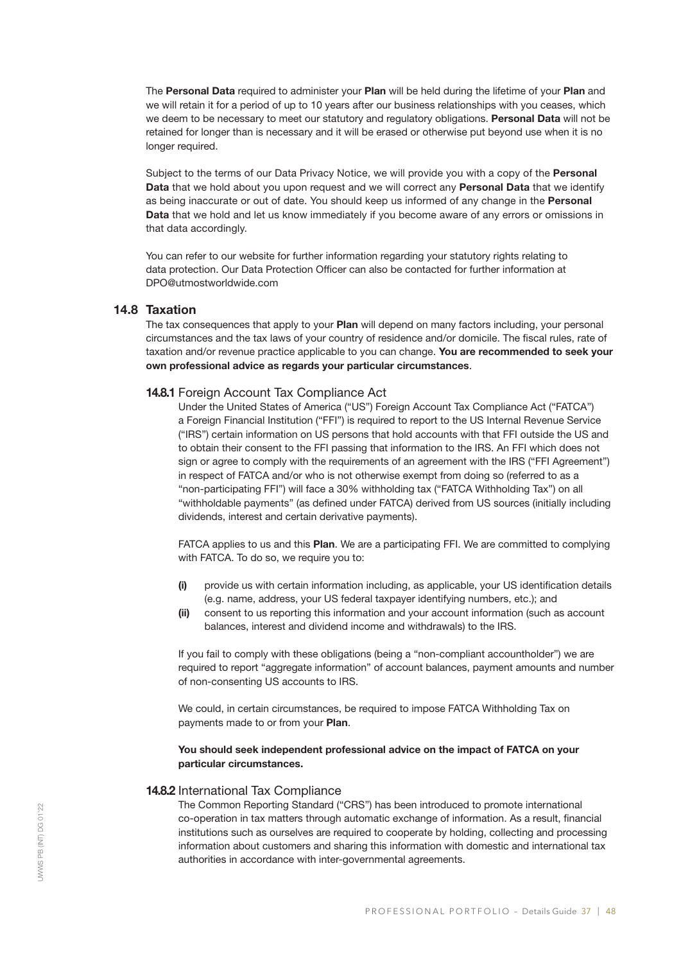The Personal Data required to administer your Plan will be held during the lifetime of your Plan and we will retain it for a period of up to 10 years after our business relationships with you ceases, which we deem to be necessary to meet our statutory and regulatory obligations. Personal Data will not be retained for longer than is necessary and it will be erased or otherwise put beyond use when it is no longer required.

Subject to the terms of our Data Privacy Notice, we will provide you with a copy of the **Personal** Data that we hold about you upon request and we will correct any Personal Data that we identify as being inaccurate or out of date. You should keep us informed of any change in the Personal Data that we hold and let us know immediately if you become aware of any errors or omissions in that data accordingly.

You can refer to our website for further information regarding your statutory rights relating to data protection. Our Data Protection Officer can also be contacted for further information at DPO@utmostworldwide.com

# 14.8 Taxation

The tax consequences that apply to your **Plan** will depend on many factors including, your personal circumstances and the tax laws of your country of residence and/or domicile. The fiscal rules, rate of taxation and/or revenue practice applicable to you can change. You are recommended to seek your own professional advice as regards your particular circumstances.

#### 14.8.1 Foreign Account Tax Compliance Act

Under the United States of America ("US") Foreign Account Tax Compliance Act ("FATCA") a Foreign Financial Institution ("FFI") is required to report to the US Internal Revenue Service ("IRS") certain information on US persons that hold accounts with that FFI outside the US and to obtain their consent to the FFI passing that information to the IRS. An FFI which does not sign or agree to comply with the requirements of an agreement with the IRS ("FFI Agreement") in respect of FATCA and/or who is not otherwise exempt from doing so (referred to as a "non-participating FFI") will face a 30% withholding tax ("FATCA Withholding Tax") on all "withholdable payments" (as defined under FATCA) derived from US sources (initially including dividends, interest and certain derivative payments).

FATCA applies to us and this Plan. We are a participating FFI. We are committed to complying with FATCA. To do so, we require you to:

- (i) provide us with certain information including, as applicable, your US identification details (e.g. name, address, your US federal taxpayer identifying numbers, etc.); and
- (ii) consent to us reporting this information and your account information (such as account balances, interest and dividend income and withdrawals) to the IRS.

If you fail to comply with these obligations (being a "non-compliant accountholder") we are required to report "aggregate information" of account balances, payment amounts and number of non-consenting US accounts to IRS.

We could, in certain circumstances, be required to impose FATCA Withholding Tax on payments made to or from your Plan.

#### You should seek independent professional advice on the impact of FATCA on your particular circumstances.

#### 14.8.2 International Tax Compliance

The Common Reporting Standard ("CRS") has been introduced to promote international co-operation in tax matters through automatic exchange of information. As a result, financial institutions such as ourselves are required to cooperate by holding, collecting and processing information about customers and sharing this information with domestic and international tax authorities in accordance with inter-governmental agreements.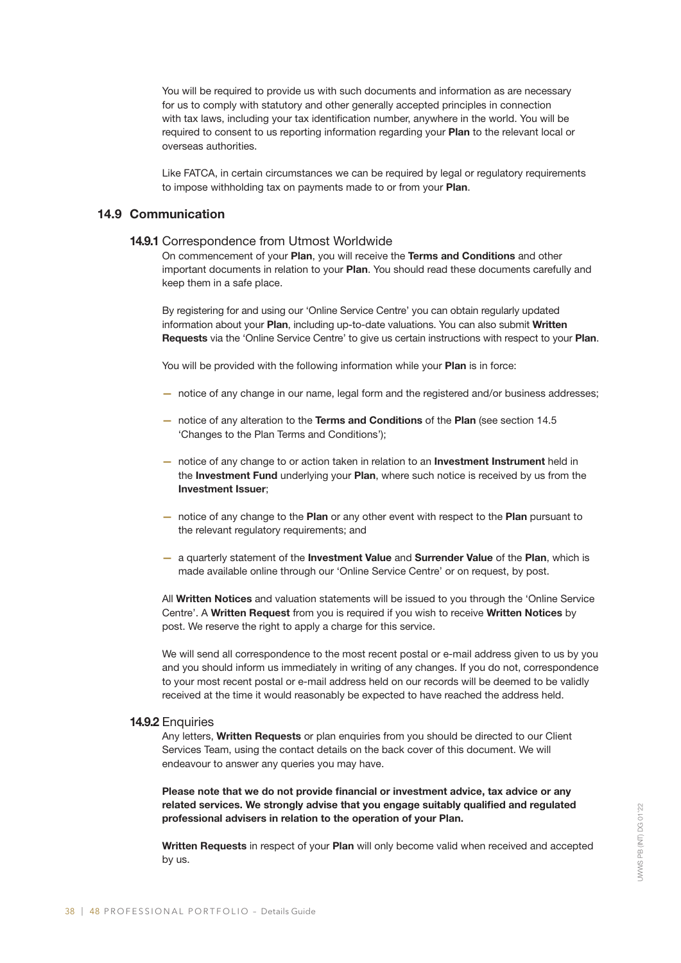You will be required to provide us with such documents and information as are necessary for us to comply with statutory and other generally accepted principles in connection with tax laws, including your tax identification number, anywhere in the world. You will be required to consent to us reporting information regarding your Plan to the relevant local or overseas authorities.

Like FATCA, in certain circumstances we can be required by legal or regulatory requirements to impose withholding tax on payments made to or from your Plan.

# 14.9 Communication

#### 14.9.1 Correspondence from Utmost Worldwide

On commencement of your Plan, you will receive the Terms and Conditions and other important documents in relation to your Plan. You should read these documents carefully and keep them in a safe place.

By registering for and using our 'Online Service Centre' you can obtain regularly updated information about your Plan, including up-to-date valuations. You can also submit Written Requests via the 'Online Service Centre' to give us certain instructions with respect to your Plan.

You will be provided with the following information while your **Plan** is in force:

- notice of any change in our name, legal form and the registered and/or business addresses;
- notice of any alteration to the Terms and Conditions of the Plan (see section 14.5 'Changes to the Plan Terms and Conditions');
- notice of any change to or action taken in relation to an **Investment Instrument** held in the Investment Fund underlying your Plan, where such notice is received by us from the Investment Issuer;
- notice of any change to the Plan or any other event with respect to the Plan pursuant to the relevant regulatory requirements; and
- a quarterly statement of the Investment Value and Surrender Value of the Plan, which is made available online through our 'Online Service Centre' or on request, by post.

All Written Notices and valuation statements will be issued to you through the 'Online Service Centre'. A Written Request from you is required if you wish to receive Written Notices by post. We reserve the right to apply a charge for this service.

We will send all correspondence to the most recent postal or e-mail address given to us by you and you should inform us immediately in writing of any changes. If you do not, correspondence to your most recent postal or e-mail address held on our records will be deemed to be validly received at the time it would reasonably be expected to have reached the address held.

#### 14.9.2 Enquiries

Any letters, Written Requests or plan enquiries from you should be directed to our Client Services Team, using the contact details on the back cover of this document. We will endeavour to answer any queries you may have.

Please note that we do not provide financial or investment advice, tax advice or any related services. We strongly advise that you engage suitably qualified and regulated professional advisers in relation to the operation of your Plan.

Written Requests in respect of your Plan will only become valid when received and accepted by us.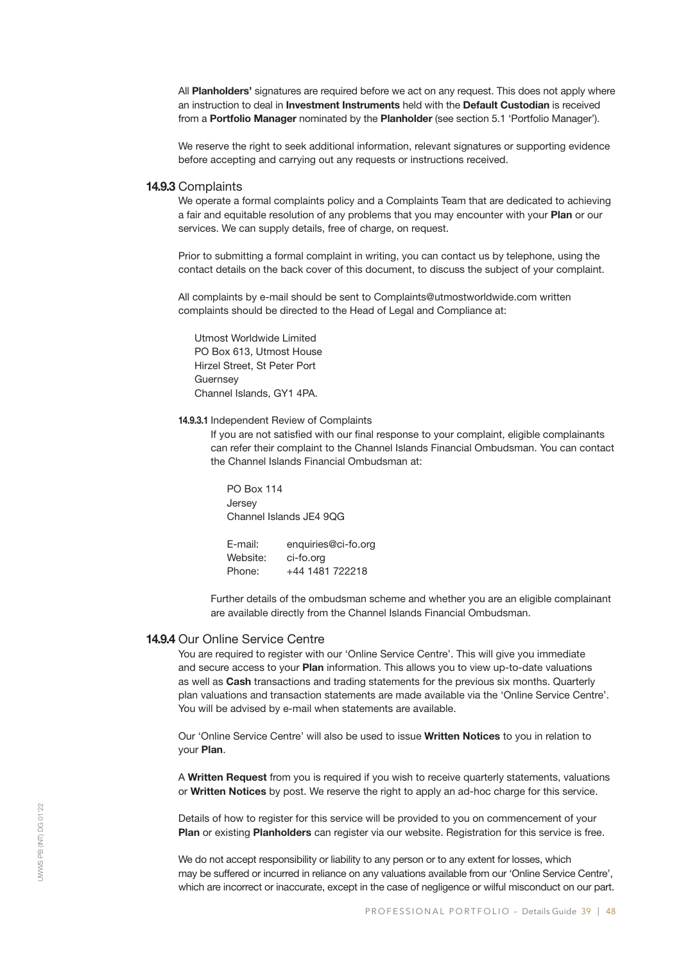All Planholders' signatures are required before we act on any request. This does not apply where an instruction to deal in Investment Instruments held with the Default Custodian is received from a Portfolio Manager nominated by the Planholder (see section 5.1 'Portfolio Manager').

We reserve the right to seek additional information, relevant signatures or supporting evidence before accepting and carrying out any requests or instructions received.

#### 14.9.3 Complaints

We operate a formal complaints policy and a Complaints Team that are dedicated to achieving a fair and equitable resolution of any problems that you may encounter with your Plan or our services. We can supply details, free of charge, on request.

Prior to submitting a formal complaint in writing, you can contact us by telephone, using the contact details on the back cover of this document, to discuss the subject of your complaint.

All complaints by e-mail should be sent to Complaints@utmostworldwide.com written complaints should be directed to the Head of Legal and Compliance at:

Utmost Worldwide Limited PO Box 613, Utmost House Hirzel Street, St Peter Port **Guernsey** Channel Islands, GY1 4PA.

#### 14.9.3.1 Independent Review of Complaints

If you are not satisfied with our final response to your complaint, eligible complainants can refer their complaint to the Channel Islands Financial Ombudsman. You can contact the Channel Islands Financial Ombudsman at:

PO Box 114 Jersey Channel Islands JE4 9QG

E-mail: enquiries@ci-fo.org Website: ci-fo.org Phone: +44 1481 722218

Further details of the ombudsman scheme and whether you are an eligible complainant are available directly from the Channel Islands Financial Ombudsman.

#### 14.9.4 Our Online Service Centre

You are required to register with our 'Online Service Centre'. This will give you immediate and secure access to your Plan information. This allows you to view up-to-date valuations as well as Cash transactions and trading statements for the previous six months. Quarterly plan valuations and transaction statements are made available via the 'Online Service Centre'. You will be advised by e-mail when statements are available.

Our 'Online Service Centre' will also be used to issue Written Notices to you in relation to your Plan.

A Written Request from you is required if you wish to receive quarterly statements, valuations or Written Notices by post. We reserve the right to apply an ad-hoc charge for this service.

Details of how to register for this service will be provided to you on commencement of your Plan or existing Planholders can register via our website. Registration for this service is free.

We do not accept responsibility or liability to any person or to any extent for losses, which may be suffered or incurred in reliance on any valuations available from our 'Online Service Centre', which are incorrect or inaccurate, except in the case of negligence or wilful misconduct on our part.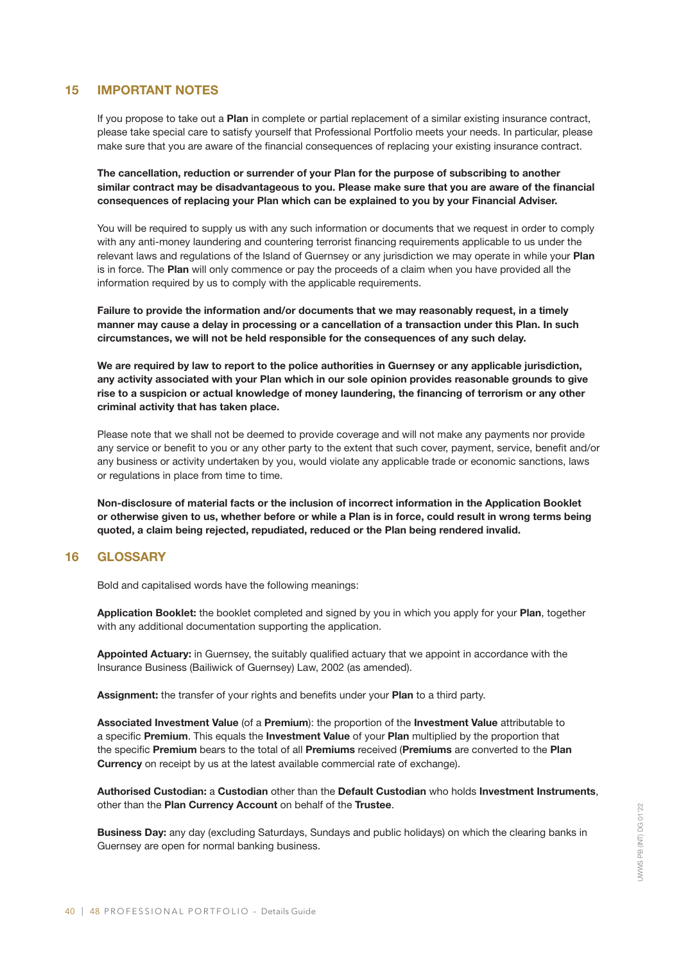# 15 IMPORTANT NOTES

If you propose to take out a Plan in complete or partial replacement of a similar existing insurance contract, please take special care to satisfy yourself that Professional Portfolio meets your needs. In particular, please make sure that you are aware of the financial consequences of replacing your existing insurance contract.

The cancellation, reduction or surrender of your Plan for the purpose of subscribing to another similar contract may be disadvantageous to you. Please make sure that you are aware of the financial consequences of replacing your Plan which can be explained to you by your Financial Adviser.

You will be required to supply us with any such information or documents that we request in order to comply with any anti-money laundering and countering terrorist financing requirements applicable to us under the relevant laws and regulations of the Island of Guernsey or any jurisdiction we may operate in while your Plan is in force. The Plan will only commence or pay the proceeds of a claim when you have provided all the information required by us to comply with the applicable requirements.

Failure to provide the information and/or documents that we may reasonably request, in a timely manner may cause a delay in processing or a cancellation of a transaction under this Plan. In such circumstances, we will not be held responsible for the consequences of any such delay.

We are required by law to report to the police authorities in Guernsey or any applicable jurisdiction, any activity associated with your Plan which in our sole opinion provides reasonable grounds to give rise to a suspicion or actual knowledge of money laundering, the financing of terrorism or any other criminal activity that has taken place.

Please note that we shall not be deemed to provide coverage and will not make any payments nor provide any service or benefit to you or any other party to the extent that such cover, payment, service, benefit and/or any business or activity undertaken by you, would violate any applicable trade or economic sanctions, laws or regulations in place from time to time.

Non-disclosure of material facts or the inclusion of incorrect information in the Application Booklet or otherwise given to us, whether before or while a Plan is in force, could result in wrong terms being quoted, a claim being rejected, repudiated, reduced or the Plan being rendered invalid.

# 16 GLOSSARY

Bold and capitalised words have the following meanings:

Application Booklet: the booklet completed and signed by you in which you apply for your Plan, together with any additional documentation supporting the application.

Appointed Actuary: in Guernsey, the suitably qualified actuary that we appoint in accordance with the Insurance Business (Bailiwick of Guernsey) Law, 2002 (as amended).

Assignment: the transfer of your rights and benefits under your Plan to a third party.

Associated Investment Value (of a Premium): the proportion of the Investment Value attributable to a specific Premium. This equals the Investment Value of your Plan multiplied by the proportion that the specific Premium bears to the total of all Premiums received (Premiums are converted to the Plan **Currency** on receipt by us at the latest available commercial rate of exchange).

Authorised Custodian: a Custodian other than the Default Custodian who holds Investment Instruments, other than the Plan Currency Account on behalf of the Trustee.

Business Day: any day (excluding Saturdays, Sundays and public holidays) on which the clearing banks in Guernsey are open for normal banking business.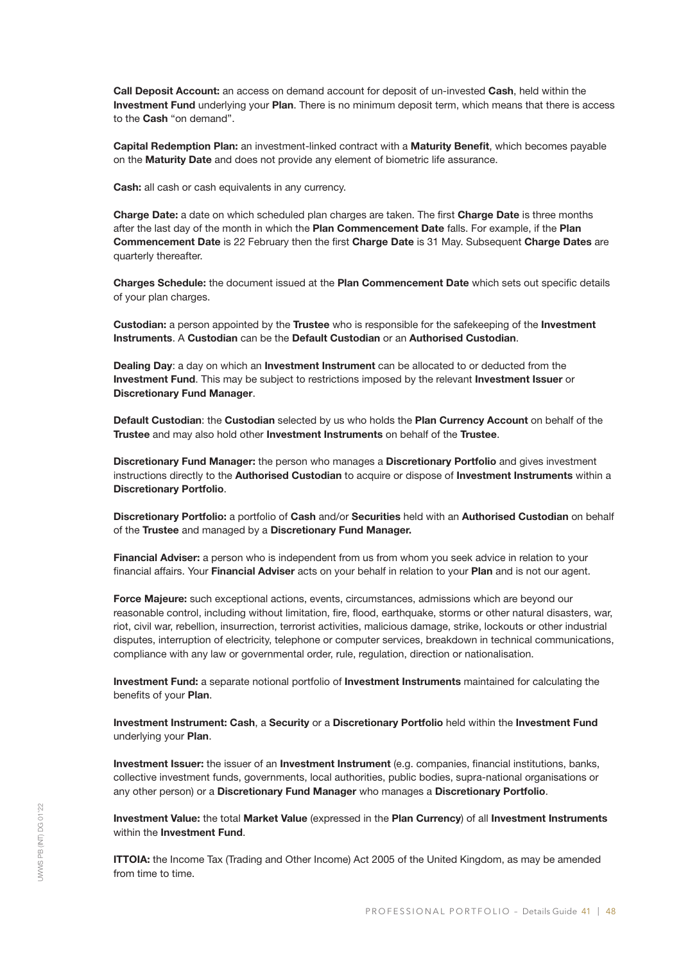Call Deposit Account: an access on demand account for deposit of un-invested Cash, held within the Investment Fund underlying your Plan. There is no minimum deposit term, which means that there is access to the Cash "on demand".

Capital Redemption Plan: an investment-linked contract with a Maturity Benefit, which becomes payable on the Maturity Date and does not provide any element of biometric life assurance.

Cash: all cash or cash equivalents in any currency.

Charge Date: a date on which scheduled plan charges are taken. The first Charge Date is three months after the last day of the month in which the Plan Commencement Date falls. For example, if the Plan Commencement Date is 22 February then the first Charge Date is 31 May. Subsequent Charge Dates are quarterly thereafter.

Charges Schedule: the document issued at the Plan Commencement Date which sets out specific details of your plan charges.

**Custodian:** a person appointed by the Trustee who is responsible for the safekeeping of the Investment Instruments. A Custodian can be the Default Custodian or an Authorised Custodian.

Dealing Day: a day on which an Investment Instrument can be allocated to or deducted from the Investment Fund. This may be subject to restrictions imposed by the relevant Investment Issuer or Discretionary Fund Manager.

Default Custodian: the Custodian selected by us who holds the Plan Currency Account on behalf of the Trustee and may also hold other Investment Instruments on behalf of the Trustee.

Discretionary Fund Manager: the person who manages a Discretionary Portfolio and gives investment instructions directly to the Authorised Custodian to acquire or dispose of Investment Instruments within a Discretionary Portfolio.

Discretionary Portfolio: a portfolio of Cash and/or Securities held with an Authorised Custodian on behalf of the Trustee and managed by a Discretionary Fund Manager.

Financial Adviser: a person who is independent from us from whom you seek advice in relation to your financial affairs. Your Financial Adviser acts on your behalf in relation to your Plan and is not our agent.

Force Majeure: such exceptional actions, events, circumstances, admissions which are beyond our reasonable control, including without limitation, fire, flood, earthquake, storms or other natural disasters, war, riot, civil war, rebellion, insurrection, terrorist activities, malicious damage, strike, lockouts or other industrial disputes, interruption of electricity, telephone or computer services, breakdown in technical communications, compliance with any law or governmental order, rule, regulation, direction or nationalisation.

Investment Fund: a separate notional portfolio of Investment Instruments maintained for calculating the benefits of your Plan.

Investment Instrument: Cash, a Security or a Discretionary Portfolio held within the Investment Fund underlying your Plan.

Investment Issuer: the issuer of an Investment Instrument (e.g. companies, financial institutions, banks, collective investment funds, governments, local authorities, public bodies, supra-national organisations or any other person) or a Discretionary Fund Manager who manages a Discretionary Portfolio.

Investment Value: the total Market Value (expressed in the Plan Currency) of all Investment Instruments within the Investment Fund.

**ITTOIA:** the Income Tax (Trading and Other Income) Act 2005 of the United Kingdom, as may be amended from time to time.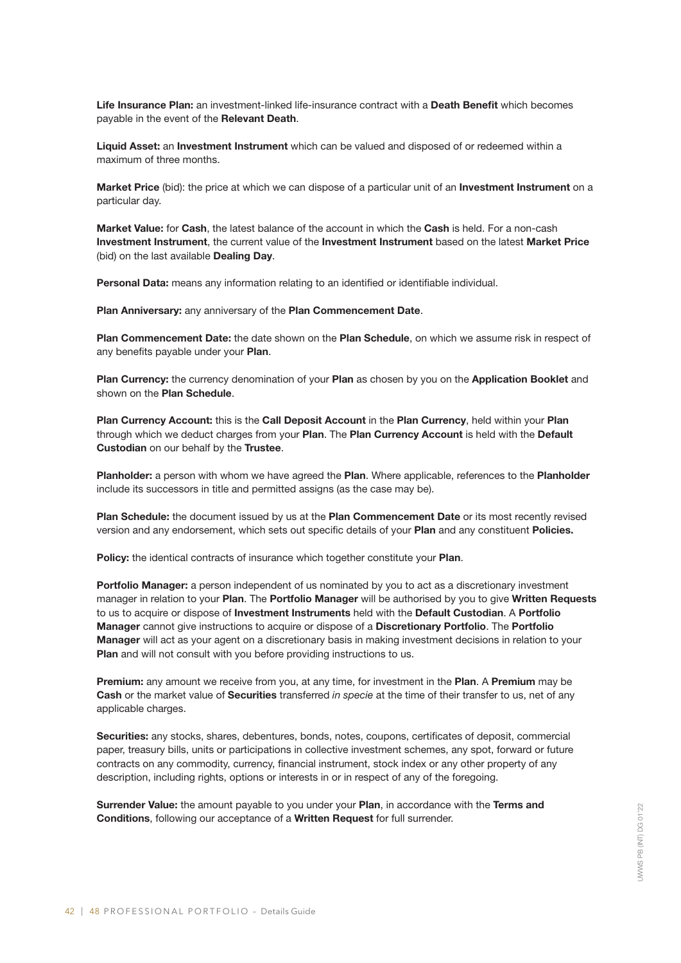Life Insurance Plan: an investment-linked life-insurance contract with a Death Benefit which becomes payable in the event of the Relevant Death.

Liquid Asset: an Investment Instrument which can be valued and disposed of or redeemed within a maximum of three months.

Market Price (bid): the price at which we can dispose of a particular unit of an Investment Instrument on a particular day.

Market Value: for Cash, the latest balance of the account in which the Cash is held. For a non-cash Investment Instrument, the current value of the Investment Instrument based on the latest Market Price (bid) on the last available Dealing Day.

Personal Data: means any information relating to an identified or identifiable individual.

Plan Anniversary: any anniversary of the Plan Commencement Date.

Plan Commencement Date: the date shown on the Plan Schedule, on which we assume risk in respect of any benefits payable under your Plan.

Plan Currency: the currency denomination of your Plan as chosen by you on the Application Booklet and shown on the Plan Schedule.

Plan Currency Account: this is the Call Deposit Account in the Plan Currency, held within your Plan through which we deduct charges from your Plan. The Plan Currency Account is held with the Default Custodian on our behalf by the Trustee.

Planholder: a person with whom we have agreed the Plan. Where applicable, references to the Planholder include its successors in title and permitted assigns (as the case may be).

Plan Schedule: the document issued by us at the Plan Commencement Date or its most recently revised version and any endorsement, which sets out specific details of your Plan and any constituent Policies.

Policy: the identical contracts of insurance which together constitute your Plan.

Portfolio Manager: a person independent of us nominated by you to act as a discretionary investment manager in relation to your Plan. The Portfolio Manager will be authorised by you to give Written Requests to us to acquire or dispose of Investment Instruments held with the Default Custodian. A Portfolio Manager cannot give instructions to acquire or dispose of a Discretionary Portfolio. The Portfolio Manager will act as your agent on a discretionary basis in making investment decisions in relation to your Plan and will not consult with you before providing instructions to us.

Premium: any amount we receive from you, at any time, for investment in the Plan. A Premium may be Cash or the market value of Securities transferred *in specie* at the time of their transfer to us, net of any applicable charges.

Securities: any stocks, shares, debentures, bonds, notes, coupons, certificates of deposit, commercial paper, treasury bills, units or participations in collective investment schemes, any spot, forward or future contracts on any commodity, currency, financial instrument, stock index or any other property of any description, including rights, options or interests in or in respect of any of the foregoing.

Surrender Value: the amount payable to you under your Plan, in accordance with the Terms and Conditions, following our acceptance of a Written Request for full surrender.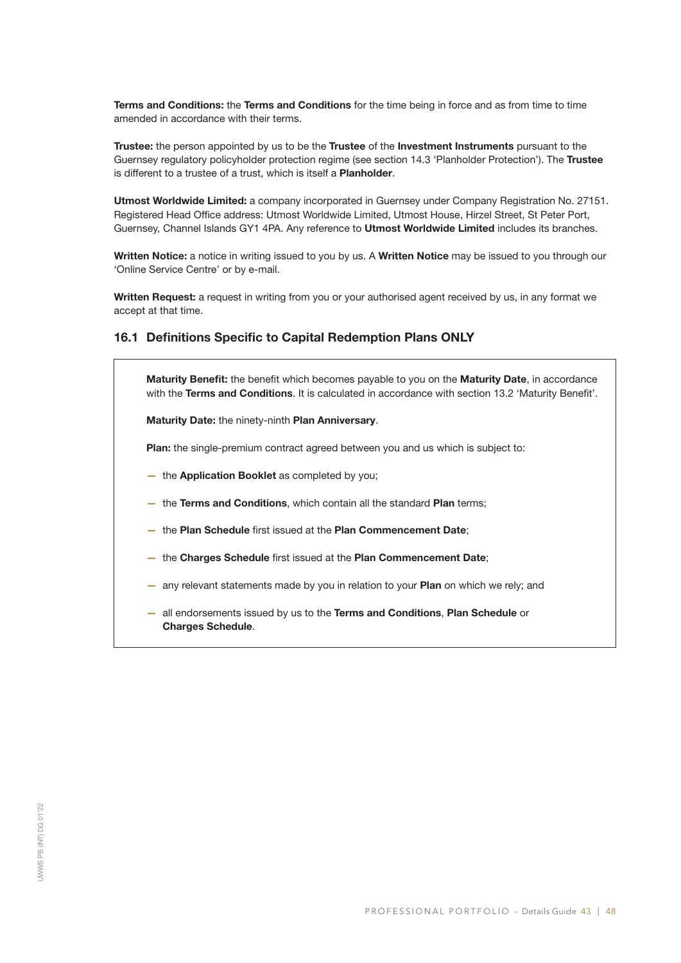Terms and Conditions: the Terms and Conditions for the time being in force and as from time to time amended in accordance with their terms.

Trustee: the person appointed by us to be the Trustee of the Investment Instruments pursuant to the Guernsey regulatory policyholder protection regime (see section 14.3 'Planholder Protection'). The Trustee is different to a trustee of a trust, which is itself a **Planholder**.

Utmost Worldwide Limited: a company incorporated in Guernsey under Company Registration No. 27151. Registered Head Office address: Utmost Worldwide Limited, Utmost House, Hirzel Street, St Peter Port, Guernsey, Channel Islands GY1 4PA. Any reference to Utmost Worldwide Limited includes its branches.

Written Notice: a notice in writing issued to you by us. A Written Notice may be issued to you through our 'Online Service Centre' or by e-mail.

Written Request: a request in writing from you or your authorised agent received by us, in any format we accept at that time.

# 16.1 Definitions Specific to Capital Redemption Plans ONLY

Maturity Benefit: the benefit which becomes payable to you on the Maturity Date, in accordance with the Terms and Conditions. It is calculated in accordance with section 13.2 'Maturity Benefit'.

Maturity Date: the ninety-ninth Plan Anniversary.

Plan: the single-premium contract agreed between you and us which is subject to:

- the Application Booklet as completed by you;
- the Terms and Conditions, which contain all the standard Plan terms;
- the Plan Schedule first issued at the Plan Commencement Date;
- the Charges Schedule first issued at the Plan Commencement Date;
- any relevant statements made by you in relation to your Plan on which we rely; and
- all endorsements issued by us to the Terms and Conditions, Plan Schedule or Charges Schedule.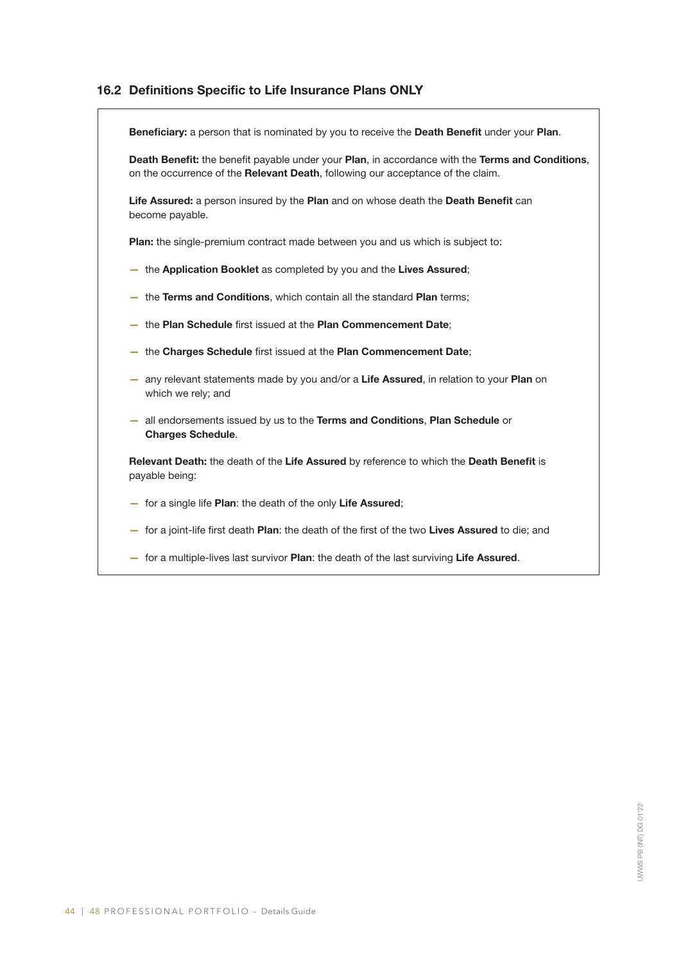# 16.2 Definitions Specific to Life Insurance Plans ONLY

 $\overline{r}$ 

| Beneficiary: a person that is nominated by you to receive the Death Benefit under your Plan.                                                                                        |
|-------------------------------------------------------------------------------------------------------------------------------------------------------------------------------------|
| Death Benefit: the benefit payable under your Plan, in accordance with the Terms and Conditions,<br>on the occurrence of the Relevant Death, following our acceptance of the claim. |
| Life Assured: a person insured by the Plan and on whose death the Death Benefit can<br>become payable.                                                                              |
| Plan: the single-premium contract made between you and us which is subject to:                                                                                                      |
| - the Application Booklet as completed by you and the Lives Assured;                                                                                                                |
| - the Terms and Conditions, which contain all the standard Plan terms;                                                                                                              |
| - the Plan Schedule first issued at the Plan Commencement Date;                                                                                                                     |
| - the Charges Schedule first issued at the Plan Commencement Date;                                                                                                                  |
| - any relevant statements made by you and/or a Life Assured, in relation to your Plan on<br>which we rely; and                                                                      |
| - all endorsements issued by us to the Terms and Conditions, Plan Schedule or<br><b>Charges Schedule.</b>                                                                           |
| Relevant Death: the death of the Life Assured by reference to which the Death Benefit is<br>payable being:                                                                          |
| - for a single life Plan: the death of the only Life Assured;                                                                                                                       |
| - for a joint-life first death Plan: the death of the first of the two Lives Assured to die; and                                                                                    |
| - for a multiple-lives last survivor Plan: the death of the last surviving Life Assured.                                                                                            |